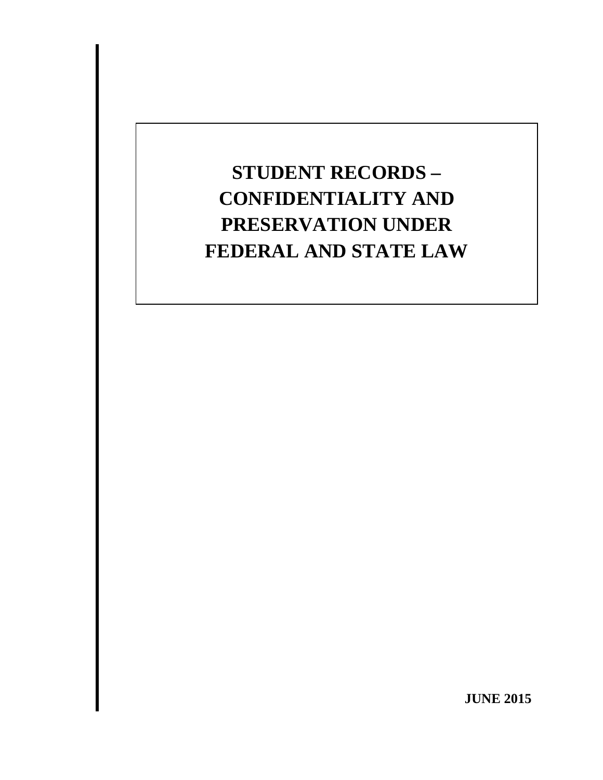# **STUDENT RECORDS – CONFIDENTIALITY AND PRESERVATION UNDER FEDERAL AND STATE LAW**

**JUNE 2015**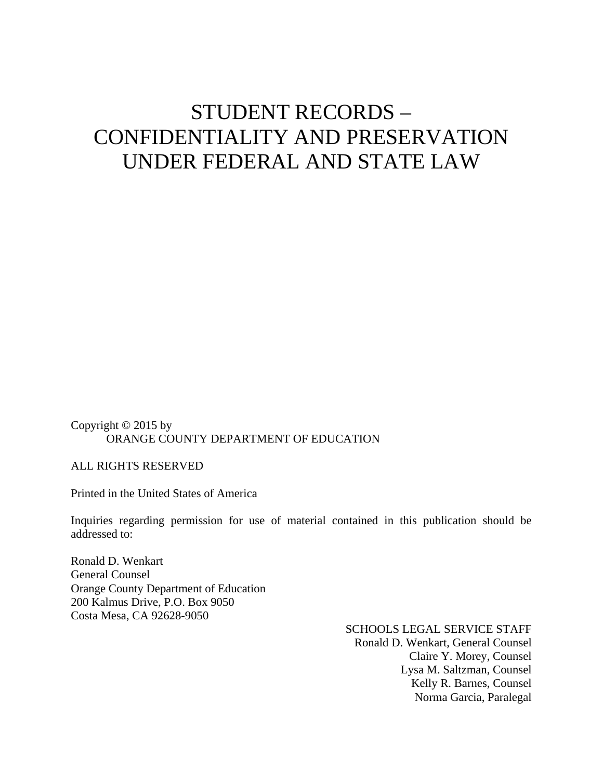## STUDENT RECORDS – CONFIDENTIALITY AND PRESERVATION UNDER FEDERAL AND STATE LAW

Copyright © 2015 by ORANGE COUNTY DEPARTMENT OF EDUCATION

ALL RIGHTS RESERVED

Printed in the United States of America

Inquiries regarding permission for use of material contained in this publication should be addressed to:

Ronald D. Wenkart General Counsel Orange County Department of Education 200 Kalmus Drive, P.O. Box 9050 Costa Mesa, CA 92628-9050

> SCHOOLS LEGAL SERVICE STAFF Ronald D. Wenkart, General Counsel Claire Y. Morey, Counsel Lysa M. Saltzman, Counsel Kelly R. Barnes, Counsel Norma Garcia, Paralegal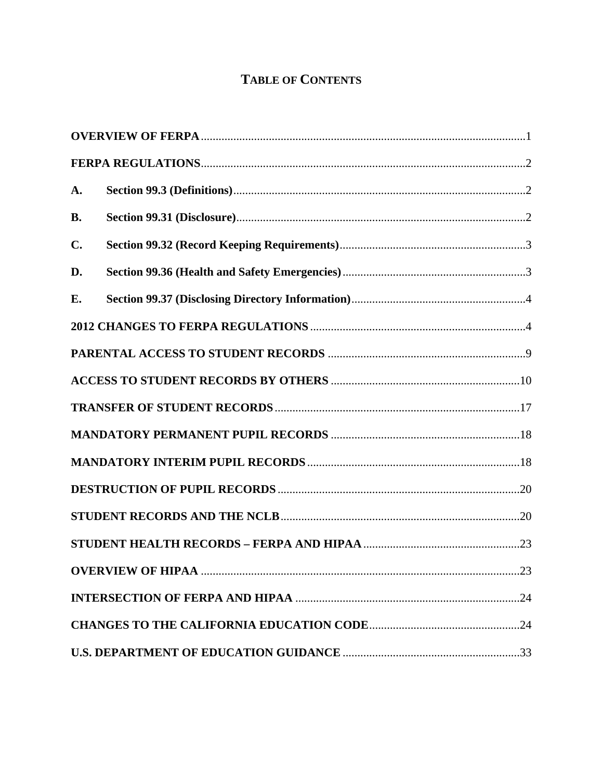## **TABLE OF CONTENTS**

| A.             |  |
|----------------|--|
| <b>B.</b>      |  |
| $\mathbf{C}$ . |  |
| D.             |  |
| E.             |  |
|                |  |
|                |  |
|                |  |
|                |  |
|                |  |
|                |  |
|                |  |
|                |  |
|                |  |
|                |  |
|                |  |
|                |  |
|                |  |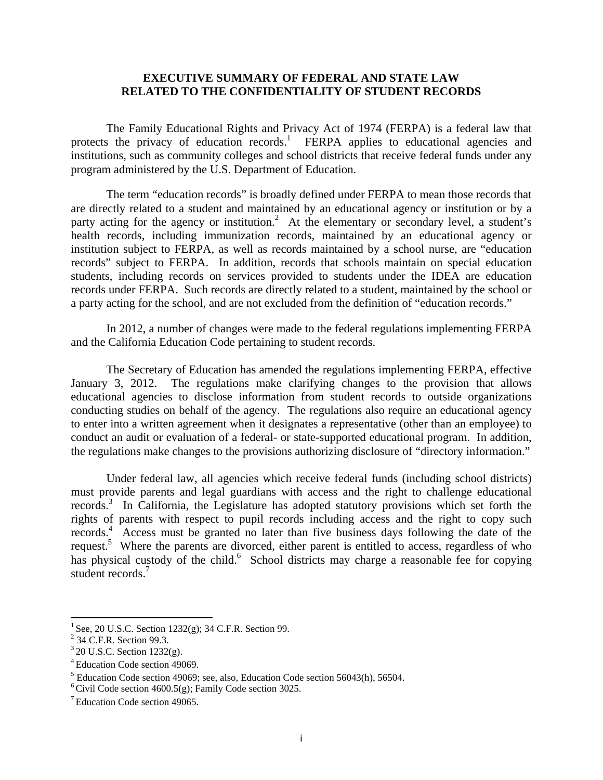#### **EXECUTIVE SUMMARY OF FEDERAL AND STATE LAW RELATED TO THE CONFIDENTIALITY OF STUDENT RECORDS**

The Family Educational Rights and Privacy Act of 1974 (FERPA) is a federal law that protects the privacy of education records.<sup>1</sup> FERPA applies to educational agencies and institutions, such as community colleges and school districts that receive federal funds under any program administered by the U.S. Department of Education.

The term "education records" is broadly defined under FERPA to mean those records that are directly related to a student and maintained by an educational agency or institution or by a party acting for the agency or institution.<sup>2</sup> At the elementary or secondary level, a student's health records, including immunization records, maintained by an educational agency or institution subject to FERPA, as well as records maintained by a school nurse, are "education records" subject to FERPA. In addition, records that schools maintain on special education students, including records on services provided to students under the IDEA are education records under FERPA. Such records are directly related to a student, maintained by the school or a party acting for the school, and are not excluded from the definition of "education records."

 In 2012, a number of changes were made to the federal regulations implementing FERPA and the California Education Code pertaining to student records.

 The Secretary of Education has amended the regulations implementing FERPA, effective January 3, 2012. The regulations make clarifying changes to the provision that allows educational agencies to disclose information from student records to outside organizations conducting studies on behalf of the agency. The regulations also require an educational agency to enter into a written agreement when it designates a representative (other than an employee) to conduct an audit or evaluation of a federal- or state-supported educational program. In addition, the regulations make changes to the provisions authorizing disclosure of "directory information."

Under federal law, all agencies which receive federal funds (including school districts) must provide parents and legal guardians with access and the right to challenge educational records.<sup>3</sup> In California, the Legislature has adopted statutory provisions which set forth the rights of parents with respect to pupil records including access and the right to copy such records.<sup>4</sup> Access must be granted no later than five business days following the date of the request.<sup>5</sup> Where the parents are divorced, either parent is entitled to access, regardless of who has physical custody of the child.<sup>6</sup> School districts may charge a reasonable fee for copying student records.<sup>7</sup>

<sup>&</sup>lt;sup>1</sup> See, 20 U.S.C. Section 1232(g); 34 C.F.R. Section 99.<br><sup>2</sup> 34 C.F.R. Section 99.3.

 $3$  20 U.S.C. Section 1232(g).

<sup>4</sup> Education Code section 49069.

<sup>&</sup>lt;sup>5</sup> Education Code section 49069; see, also, Education Code section 56043(h), 56504.

 $<sup>6</sup>$  Civil Code section 4600.5(g); Family Code section 3025.</sup>

<sup>7</sup> Education Code section 49065.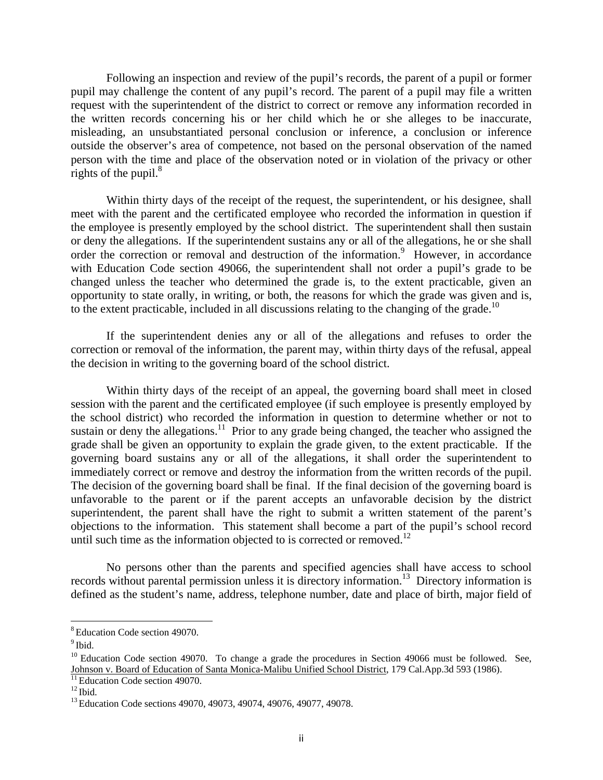Following an inspection and review of the pupil's records, the parent of a pupil or former pupil may challenge the content of any pupil's record. The parent of a pupil may file a written request with the superintendent of the district to correct or remove any information recorded in the written records concerning his or her child which he or she alleges to be inaccurate, misleading, an unsubstantiated personal conclusion or inference, a conclusion or inference outside the observer's area of competence, not based on the personal observation of the named person with the time and place of the observation noted or in violation of the privacy or other rights of the pupil. $8<sup>8</sup>$ 

Within thirty days of the receipt of the request, the superintendent, or his designee, shall meet with the parent and the certificated employee who recorded the information in question if the employee is presently employed by the school district. The superintendent shall then sustain or deny the allegations. If the superintendent sustains any or all of the allegations, he or she shall order the correction or removal and destruction of the information.<sup>9</sup> However, in accordance with Education Code section 49066, the superintendent shall not order a pupil's grade to be changed unless the teacher who determined the grade is, to the extent practicable, given an opportunity to state orally, in writing, or both, the reasons for which the grade was given and is, to the extent practicable, included in all discussions relating to the changing of the grade.<sup>10</sup>

If the superintendent denies any or all of the allegations and refuses to order the correction or removal of the information, the parent may, within thirty days of the refusal, appeal the decision in writing to the governing board of the school district.

Within thirty days of the receipt of an appeal, the governing board shall meet in closed session with the parent and the certificated employee (if such employee is presently employed by the school district) who recorded the information in question to determine whether or not to sustain or deny the allegations.<sup>11</sup> Prior to any grade being changed, the teacher who assigned the grade shall be given an opportunity to explain the grade given, to the extent practicable. If the governing board sustains any or all of the allegations, it shall order the superintendent to immediately correct or remove and destroy the information from the written records of the pupil. The decision of the governing board shall be final. If the final decision of the governing board is unfavorable to the parent or if the parent accepts an unfavorable decision by the district superintendent, the parent shall have the right to submit a written statement of the parent's objections to the information. This statement shall become a part of the pupil's school record until such time as the information objected to is corrected or removed.<sup>12</sup>

No persons other than the parents and specified agencies shall have access to school records without parental permission unless it is directory information.13 Directory information is defined as the student's name, address, telephone number, date and place of birth, major field of

 8 Education Code section 49070.

 $<sup>9</sup>$  Ibid.</sup>

 $10$  Education Code section 49070. To change a grade the procedures in Section 49066 must be followed. See, Johnson v. Board of Education of Santa Monica-Malibu Unified School District, 179 Cal.App.3d 593 (1986).

<sup>&</sup>lt;sup>11</sup> Education Code section 49070.<br><sup>12</sup> Ibid. 13 Education Code sections 49070, 49073, 49074, 49076, 49077, 49078.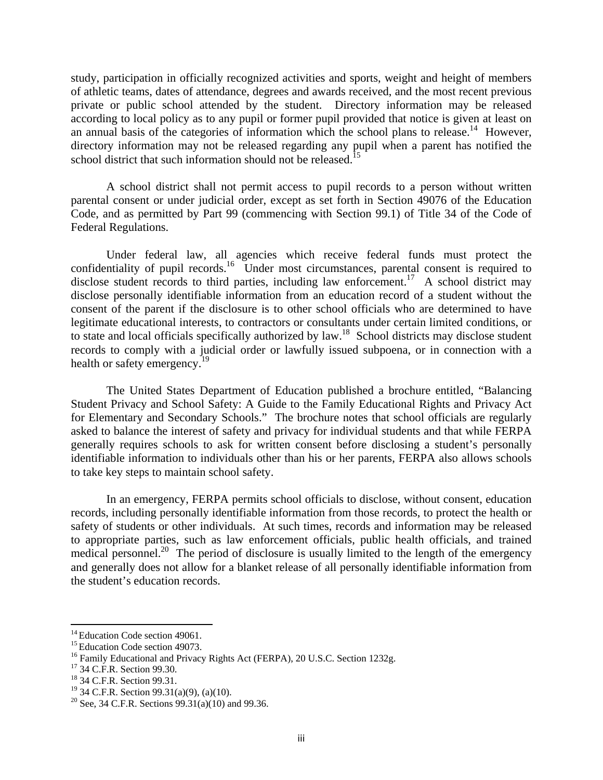study, participation in officially recognized activities and sports, weight and height of members of athletic teams, dates of attendance, degrees and awards received, and the most recent previous private or public school attended by the student. Directory information may be released according to local policy as to any pupil or former pupil provided that notice is given at least on an annual basis of the categories of information which the school plans to release.<sup>14</sup> However, directory information may not be released regarding any pupil when a parent has notified the school district that such information should not be released.<sup>15</sup>

A school district shall not permit access to pupil records to a person without written parental consent or under judicial order, except as set forth in Section 49076 of the Education Code, and as permitted by Part 99 (commencing with Section 99.1) of Title 34 of the Code of Federal Regulations.

 Under federal law, all agencies which receive federal funds must protect the confidentiality of pupil records.<sup>16</sup> Under most circumstances, parental consent is required to disclose student records to third parties, including law enforcement.<sup>17</sup> A school district may disclose personally identifiable information from an education record of a student without the consent of the parent if the disclosure is to other school officials who are determined to have legitimate educational interests, to contractors or consultants under certain limited conditions, or to state and local officials specifically authorized by law.<sup>18</sup> School districts may disclose student records to comply with a judicial order or lawfully issued subpoena, or in connection with a health or safety emergency.<sup>19</sup>

 The United States Department of Education published a brochure entitled, "Balancing Student Privacy and School Safety: A Guide to the Family Educational Rights and Privacy Act for Elementary and Secondary Schools." The brochure notes that school officials are regularly asked to balance the interest of safety and privacy for individual students and that while FERPA generally requires schools to ask for written consent before disclosing a student's personally identifiable information to individuals other than his or her parents, FERPA also allows schools to take key steps to maintain school safety.

 In an emergency, FERPA permits school officials to disclose, without consent, education records, including personally identifiable information from those records, to protect the health or safety of students or other individuals. At such times, records and information may be released to appropriate parties, such as law enforcement officials, public health officials, and trained medical personnel.<sup>20</sup> The period of disclosure is usually limited to the length of the emergency and generally does not allow for a blanket release of all personally identifiable information from the student's education records.

<sup>&</sup>lt;sup>14</sup> Education Code section 49061.

<sup>&</sup>lt;sup>15</sup> Education Code section 49073.<br><sup>16</sup> Family Educational and Privacy Rights Act (FERPA), 20 U.S.C. Section 1232g. <sup>17</sup> 34 C.F.R. Section 99.30.

<sup>18 34</sup> C.F.R. Section 99.31.

 $19$  34 C.F.R. Section 99.31(a)(9), (a)(10).

<sup>&</sup>lt;sup>20</sup> See, 34 C.F.R. Sections  $99.31(a)(10)$  and  $99.36$ .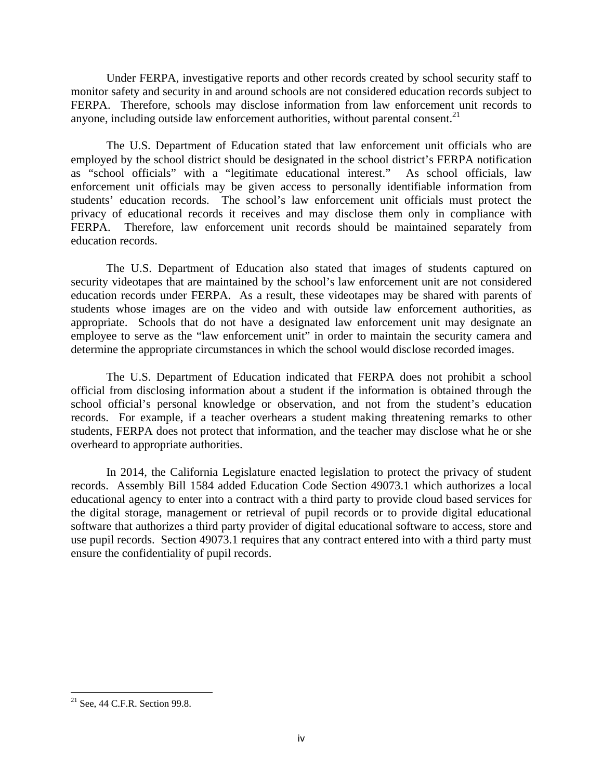Under FERPA, investigative reports and other records created by school security staff to monitor safety and security in and around schools are not considered education records subject to FERPA. Therefore, schools may disclose information from law enforcement unit records to anyone, including outside law enforcement authorities, without parental consent.<sup>21</sup>

 The U.S. Department of Education stated that law enforcement unit officials who are employed by the school district should be designated in the school district's FERPA notification as "school officials" with a "legitimate educational interest." As school officials, law enforcement unit officials may be given access to personally identifiable information from students' education records. The school's law enforcement unit officials must protect the privacy of educational records it receives and may disclose them only in compliance with FERPA. Therefore, law enforcement unit records should be maintained separately from education records.

 The U.S. Department of Education also stated that images of students captured on security videotapes that are maintained by the school's law enforcement unit are not considered education records under FERPA. As a result, these videotapes may be shared with parents of students whose images are on the video and with outside law enforcement authorities, as appropriate. Schools that do not have a designated law enforcement unit may designate an employee to serve as the "law enforcement unit" in order to maintain the security camera and determine the appropriate circumstances in which the school would disclose recorded images.

 The U.S. Department of Education indicated that FERPA does not prohibit a school official from disclosing information about a student if the information is obtained through the school official's personal knowledge or observation, and not from the student's education records. For example, if a teacher overhears a student making threatening remarks to other students, FERPA does not protect that information, and the teacher may disclose what he or she overheard to appropriate authorities.

 In 2014, the California Legislature enacted legislation to protect the privacy of student records. Assembly Bill 1584 added Education Code Section 49073.1 which authorizes a local educational agency to enter into a contract with a third party to provide cloud based services for the digital storage, management or retrieval of pupil records or to provide digital educational software that authorizes a third party provider of digital educational software to access, store and use pupil records. Section 49073.1 requires that any contract entered into with a third party must ensure the confidentiality of pupil records.

  $21$  See, 44 C.F.R. Section 99.8.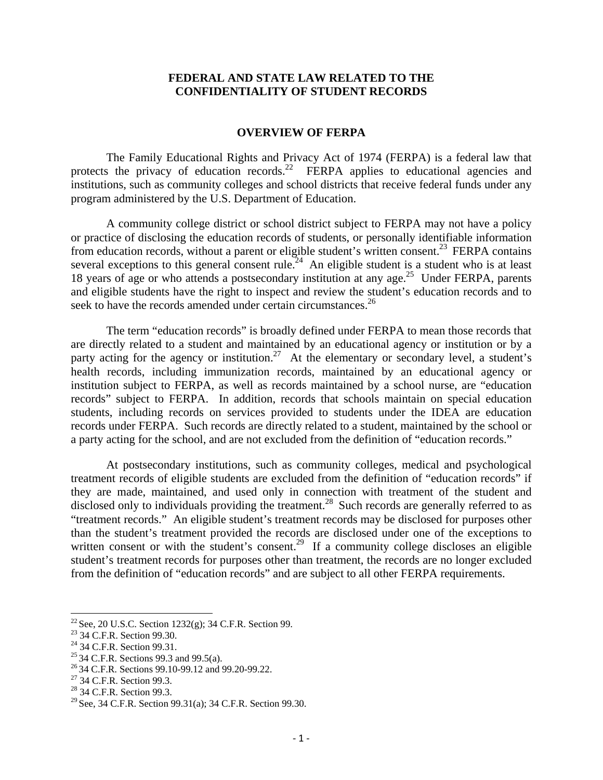#### **FEDERAL AND STATE LAW RELATED TO THE CONFIDENTIALITY OF STUDENT RECORDS**

#### **OVERVIEW OF FERPA**

The Family Educational Rights and Privacy Act of 1974 (FERPA) is a federal law that protects the privacy of education records.<sup>22</sup> FERPA applies to educational agencies and institutions, such as community colleges and school districts that receive federal funds under any program administered by the U.S. Department of Education.

A community college district or school district subject to FERPA may not have a policy or practice of disclosing the education records of students, or personally identifiable information from education records, without a parent or eligible student's written consent.<sup>23</sup> FERPA contains several exceptions to this general consent rule.<sup>24</sup> An eligible student is a student who is at least 18 years of age or who attends a postsecondary institution at any age.<sup>25</sup> Under FERPA, parents and eligible students have the right to inspect and review the student's education records and to seek to have the records amended under certain circumstances.<sup>26</sup>

The term "education records" is broadly defined under FERPA to mean those records that are directly related to a student and maintained by an educational agency or institution or by a party acting for the agency or institution.<sup>27</sup> At the elementary or secondary level, a student's health records, including immunization records, maintained by an educational agency or institution subject to FERPA, as well as records maintained by a school nurse, are "education records" subject to FERPA. In addition, records that schools maintain on special education students, including records on services provided to students under the IDEA are education records under FERPA. Such records are directly related to a student, maintained by the school or a party acting for the school, and are not excluded from the definition of "education records."

At postsecondary institutions, such as community colleges, medical and psychological treatment records of eligible students are excluded from the definition of "education records" if they are made, maintained, and used only in connection with treatment of the student and disclosed only to individuals providing the treatment.<sup>28</sup> Such records are generally referred to as "treatment records." An eligible student's treatment records may be disclosed for purposes other than the student's treatment provided the records are disclosed under one of the exceptions to written consent or with the student's consent.<sup>29</sup> If a community college discloses an eligible student's treatment records for purposes other than treatment, the records are no longer excluded from the definition of "education records" and are subject to all other FERPA requirements.

<sup>&</sup>lt;sup>22</sup> See, 20 U.S.C. Section 1232(g); 34 C.F.R. Section 99.<br><sup>23</sup> 34 C.F.R. Section 99.30.

<sup>23 34</sup> C.F.R. Section 99.30.<br>
<sup>24</sup> 34 C.F.R. Section 99.31.<br>
<sup>25</sup> 34 C.F.R. Sections 99.3 and 99.5(a).

<sup>&</sup>lt;sup>26</sup> 34 C.F.R. Sections 99.10-99.12 and 99.20-99.22.<br><sup>27</sup> 34 C.F.R. Section 99.3.

<sup>&</sup>lt;sup>28</sup> 34 C.F.R. Section 99.3.

<sup>&</sup>lt;sup>29</sup> See, 34 C.F.R. Section 99.31(a); 34 C.F.R. Section 99.30.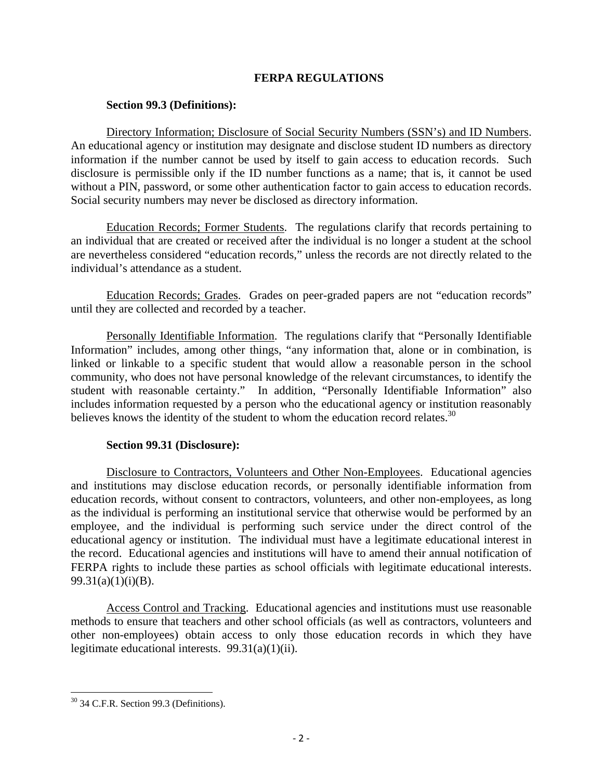## **FERPA REGULATIONS**

#### **Section 99.3 (Definitions):**

Directory Information; Disclosure of Social Security Numbers (SSN's) and ID Numbers. An educational agency or institution may designate and disclose student ID numbers as directory information if the number cannot be used by itself to gain access to education records. Such disclosure is permissible only if the ID number functions as a name; that is, it cannot be used without a PIN, password, or some other authentication factor to gain access to education records. Social security numbers may never be disclosed as directory information.

Education Records; Former Students. The regulations clarify that records pertaining to an individual that are created or received after the individual is no longer a student at the school are nevertheless considered "education records," unless the records are not directly related to the individual's attendance as a student.

Education Records; Grades. Grades on peer-graded papers are not "education records" until they are collected and recorded by a teacher.

Personally Identifiable Information. The regulations clarify that "Personally Identifiable Information" includes, among other things, "any information that, alone or in combination, is linked or linkable to a specific student that would allow a reasonable person in the school community, who does not have personal knowledge of the relevant circumstances, to identify the student with reasonable certainty." In addition, "Personally Identifiable Information" also includes information requested by a person who the educational agency or institution reasonably believes knows the identity of the student to whom the education record relates.<sup>30</sup>

## **Section 99.31 (Disclosure):**

Disclosure to Contractors, Volunteers and Other Non-Employees. Educational agencies and institutions may disclose education records, or personally identifiable information from education records, without consent to contractors, volunteers, and other non-employees, as long as the individual is performing an institutional service that otherwise would be performed by an employee, and the individual is performing such service under the direct control of the educational agency or institution. The individual must have a legitimate educational interest in the record. Educational agencies and institutions will have to amend their annual notification of FERPA rights to include these parties as school officials with legitimate educational interests.  $99.31(a)(1)(i)(B)$ .

Access Control and Tracking. Educational agencies and institutions must use reasonable methods to ensure that teachers and other school officials (as well as contractors, volunteers and other non-employees) obtain access to only those education records in which they have legitimate educational interests. 99.31(a)(1)(ii).

  $30$  34 C.F.R. Section 99.3 (Definitions).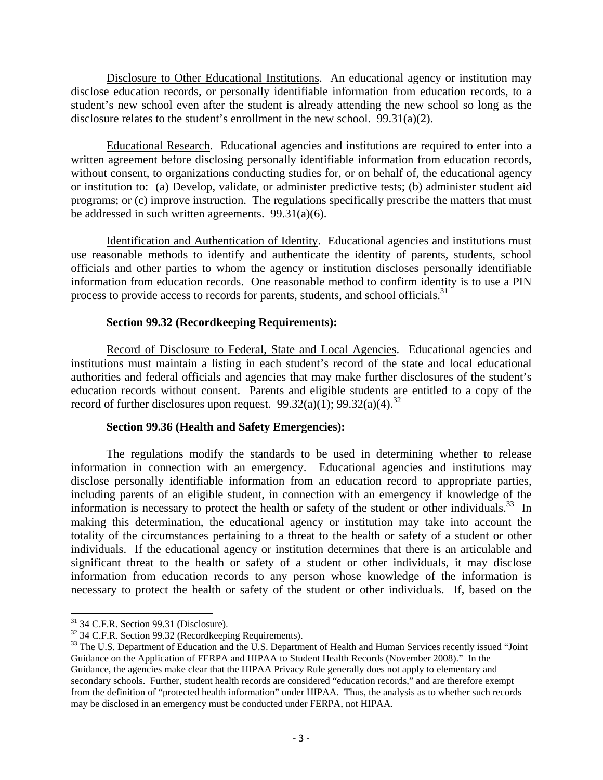Disclosure to Other Educational Institutions. An educational agency or institution may disclose education records, or personally identifiable information from education records, to a student's new school even after the student is already attending the new school so long as the disclosure relates to the student's enrollment in the new school. 99.31(a)(2).

Educational Research. Educational agencies and institutions are required to enter into a written agreement before disclosing personally identifiable information from education records, without consent, to organizations conducting studies for, or on behalf of, the educational agency or institution to: (a) Develop, validate, or administer predictive tests; (b) administer student aid programs; or (c) improve instruction. The regulations specifically prescribe the matters that must be addressed in such written agreements. 99.31(a)(6).

Identification and Authentication of Identity. Educational agencies and institutions must use reasonable methods to identify and authenticate the identity of parents, students, school officials and other parties to whom the agency or institution discloses personally identifiable information from education records. One reasonable method to confirm identity is to use a PIN process to provide access to records for parents, students, and school officials.<sup>31</sup>

#### **Section 99.32 (Recordkeeping Requirements):**

Record of Disclosure to Federal, State and Local Agencies. Educational agencies and institutions must maintain a listing in each student's record of the state and local educational authorities and federal officials and agencies that may make further disclosures of the student's education records without consent. Parents and eligible students are entitled to a copy of the record of further disclosures upon request.  $99.32(a)(1)$ ;  $99.32(a)(4)$ .<sup>32</sup>

#### **Section 99.36 (Health and Safety Emergencies):**

The regulations modify the standards to be used in determining whether to release information in connection with an emergency. Educational agencies and institutions may disclose personally identifiable information from an education record to appropriate parties, including parents of an eligible student, in connection with an emergency if knowledge of the information is necessary to protect the health or safety of the student or other individuals.<sup>33</sup> In making this determination, the educational agency or institution may take into account the totality of the circumstances pertaining to a threat to the health or safety of a student or other individuals. If the educational agency or institution determines that there is an articulable and significant threat to the health or safety of a student or other individuals, it may disclose information from education records to any person whose knowledge of the information is necessary to protect the health or safety of the student or other individuals. If, based on the

  $31$  34 C.F.R. Section 99.31 (Disclosure).

<sup>&</sup>lt;sup>32</sup> 34 C.F.R. Section 99.32 (Recordkeeping Requirements).

<sup>&</sup>lt;sup>33</sup> The U.S. Department of Education and the U.S. Department of Health and Human Services recently issued "Joint Guidance on the Application of FERPA and HIPAA to Student Health Records (November 2008)." In the Guidance, the agencies make clear that the HIPAA Privacy Rule generally does not apply to elementary and secondary schools. Further, student health records are considered "education records," and are therefore exempt from the definition of "protected health information" under HIPAA. Thus, the analysis as to whether such records may be disclosed in an emergency must be conducted under FERPA, not HIPAA.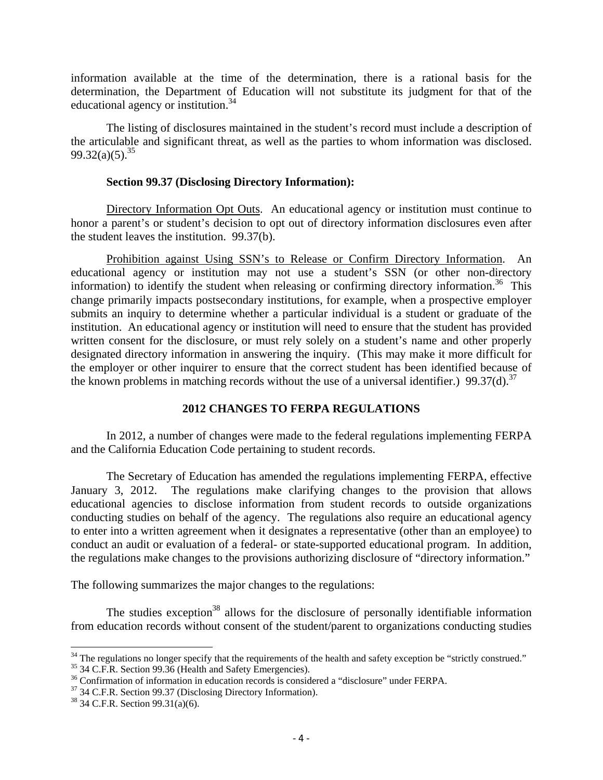information available at the time of the determination, there is a rational basis for the determination, the Department of Education will not substitute its judgment for that of the educational agency or institution.34

 The listing of disclosures maintained in the student's record must include a description of the articulable and significant threat, as well as the parties to whom information was disclosed.  $99.32(a)(5)^{35}$ 

## **Section 99.37 (Disclosing Directory Information):**

Directory Information Opt Outs. An educational agency or institution must continue to honor a parent's or student's decision to opt out of directory information disclosures even after the student leaves the institution. 99.37(b).

Prohibition against Using SSN's to Release or Confirm Directory Information. An educational agency or institution may not use a student's SSN (or other non-directory information) to identify the student when releasing or confirming directory information.<sup>36</sup> This change primarily impacts postsecondary institutions, for example, when a prospective employer submits an inquiry to determine whether a particular individual is a student or graduate of the institution. An educational agency or institution will need to ensure that the student has provided written consent for the disclosure, or must rely solely on a student's name and other properly designated directory information in answering the inquiry. (This may make it more difficult for the employer or other inquirer to ensure that the correct student has been identified because of the known problems in matching records without the use of a universal identifier.) 99.37(d).<sup>37</sup>

## **2012 CHANGES TO FERPA REGULATIONS**

 In 2012, a number of changes were made to the federal regulations implementing FERPA and the California Education Code pertaining to student records.

 The Secretary of Education has amended the regulations implementing FERPA, effective January 3, 2012. The regulations make clarifying changes to the provision that allows educational agencies to disclose information from student records to outside organizations conducting studies on behalf of the agency. The regulations also require an educational agency to enter into a written agreement when it designates a representative (other than an employee) to conduct an audit or evaluation of a federal- or state-supported educational program. In addition, the regulations make changes to the provisions authorizing disclosure of "directory information."

The following summarizes the major changes to the regulations:

The studies exception<sup>38</sup> allows for the disclosure of personally identifiable information from education records without consent of the student/parent to organizations conducting studies

<sup>&</sup>lt;sup>34</sup> The regulations no longer specify that the requirements of the health and safety exception be "strictly construed."  $35$  34 C.F.R. Section 99.36 (Health and Safety Emergencies).

 $36$  Confirmation of information in education records is considered a "disclosure" under FERPA.  $37$  34 C.F.R. Section 99.37 (Disclosing Directory Information).

<sup>38 34</sup> C.F.R. Section 99.31(a)(6).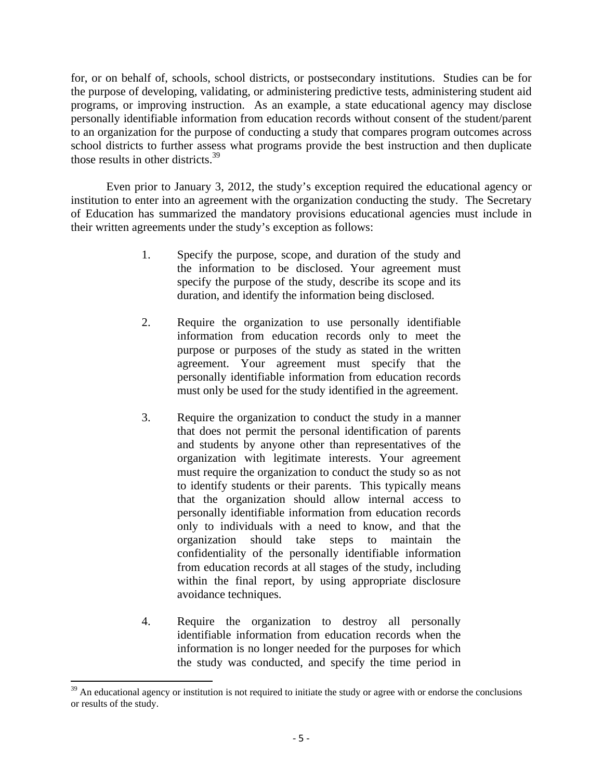for, or on behalf of, schools, school districts, or postsecondary institutions. Studies can be for the purpose of developing, validating, or administering predictive tests, administering student aid programs, or improving instruction. As an example, a state educational agency may disclose personally identifiable information from education records without consent of the student/parent to an organization for the purpose of conducting a study that compares program outcomes across school districts to further assess what programs provide the best instruction and then duplicate those results in other districts.39

 Even prior to January 3, 2012, the study's exception required the educational agency or institution to enter into an agreement with the organization conducting the study. The Secretary of Education has summarized the mandatory provisions educational agencies must include in their written agreements under the study's exception as follows:

- 1. Specify the purpose, scope, and duration of the study and the information to be disclosed. Your agreement must specify the purpose of the study, describe its scope and its duration, and identify the information being disclosed.
- 2. Require the organization to use personally identifiable information from education records only to meet the purpose or purposes of the study as stated in the written agreement. Your agreement must specify that the personally identifiable information from education records must only be used for the study identified in the agreement.
- 3. Require the organization to conduct the study in a manner that does not permit the personal identification of parents and students by anyone other than representatives of the organization with legitimate interests. Your agreement must require the organization to conduct the study so as not to identify students or their parents. This typically means that the organization should allow internal access to personally identifiable information from education records only to individuals with a need to know, and that the organization should take steps to maintain the confidentiality of the personally identifiable information from education records at all stages of the study, including within the final report, by using appropriate disclosure avoidance techniques.
- 4. Require the organization to destroy all personally identifiable information from education records when the information is no longer needed for the purposes for which the study was conducted, and specify the time period in

 $39$  An educational agency or institution is not required to initiate the study or agree with or endorse the conclusions or results of the study.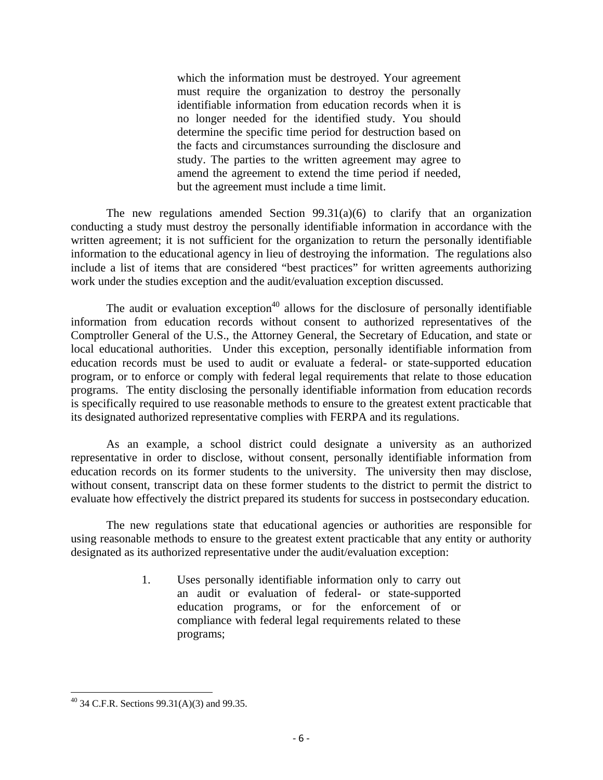which the information must be destroyed. Your agreement must require the organization to destroy the personally identifiable information from education records when it is no longer needed for the identified study. You should determine the specific time period for destruction based on the facts and circumstances surrounding the disclosure and study. The parties to the written agreement may agree to amend the agreement to extend the time period if needed, but the agreement must include a time limit.

The new regulations amended Section  $99.31(a)(6)$  to clarify that an organization conducting a study must destroy the personally identifiable information in accordance with the written agreement; it is not sufficient for the organization to return the personally identifiable information to the educational agency in lieu of destroying the information. The regulations also include a list of items that are considered "best practices" for written agreements authorizing work under the studies exception and the audit/evaluation exception discussed.

The audit or evaluation exception<sup>40</sup> allows for the disclosure of personally identifiable information from education records without consent to authorized representatives of the Comptroller General of the U.S., the Attorney General, the Secretary of Education, and state or local educational authorities. Under this exception, personally identifiable information from education records must be used to audit or evaluate a federal- or state-supported education program, or to enforce or comply with federal legal requirements that relate to those education programs. The entity disclosing the personally identifiable information from education records is specifically required to use reasonable methods to ensure to the greatest extent practicable that its designated authorized representative complies with FERPA and its regulations.

As an example, a school district could designate a university as an authorized representative in order to disclose, without consent, personally identifiable information from education records on its former students to the university. The university then may disclose, without consent, transcript data on these former students to the district to permit the district to evaluate how effectively the district prepared its students for success in postsecondary education.

The new regulations state that educational agencies or authorities are responsible for using reasonable methods to ensure to the greatest extent practicable that any entity or authority designated as its authorized representative under the audit/evaluation exception:

> 1. Uses personally identifiable information only to carry out an audit or evaluation of federal- or state-supported education programs, or for the enforcement of or compliance with federal legal requirements related to these programs;

 $^{40}$  34 C.F.R. Sections 99.31(A)(3) and 99.35.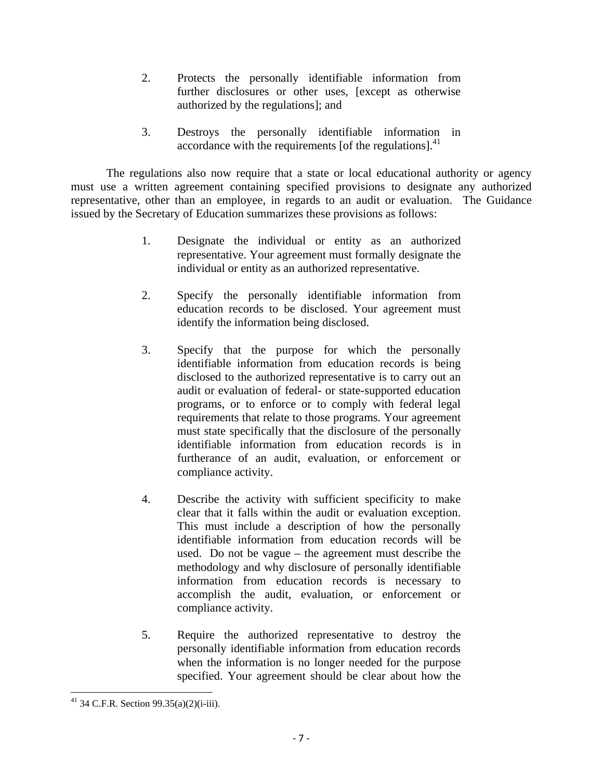- 2. Protects the personally identifiable information from further disclosures or other uses, [except as otherwise authorized by the regulations]; and
- 3. Destroys the personally identifiable information in accordance with the requirements [of the regulations]. $41$

 The regulations also now require that a state or local educational authority or agency must use a written agreement containing specified provisions to designate any authorized representative, other than an employee, in regards to an audit or evaluation. The Guidance issued by the Secretary of Education summarizes these provisions as follows:

- 1. Designate the individual or entity as an authorized representative. Your agreement must formally designate the individual or entity as an authorized representative.
- 2. Specify the personally identifiable information from education records to be disclosed. Your agreement must identify the information being disclosed.
- 3. Specify that the purpose for which the personally identifiable information from education records is being disclosed to the authorized representative is to carry out an audit or evaluation of federal- or state-supported education programs, or to enforce or to comply with federal legal requirements that relate to those programs. Your agreement must state specifically that the disclosure of the personally identifiable information from education records is in furtherance of an audit, evaluation, or enforcement or compliance activity.
- 4. Describe the activity with sufficient specificity to make clear that it falls within the audit or evaluation exception. This must include a description of how the personally identifiable information from education records will be used. Do not be vague – the agreement must describe the methodology and why disclosure of personally identifiable information from education records is necessary to accomplish the audit, evaluation, or enforcement or compliance activity.
- 5. Require the authorized representative to destroy the personally identifiable information from education records when the information is no longer needed for the purpose specified. Your agreement should be clear about how the

  $41$  34 C.F.R. Section 99.35(a)(2)(i-iii).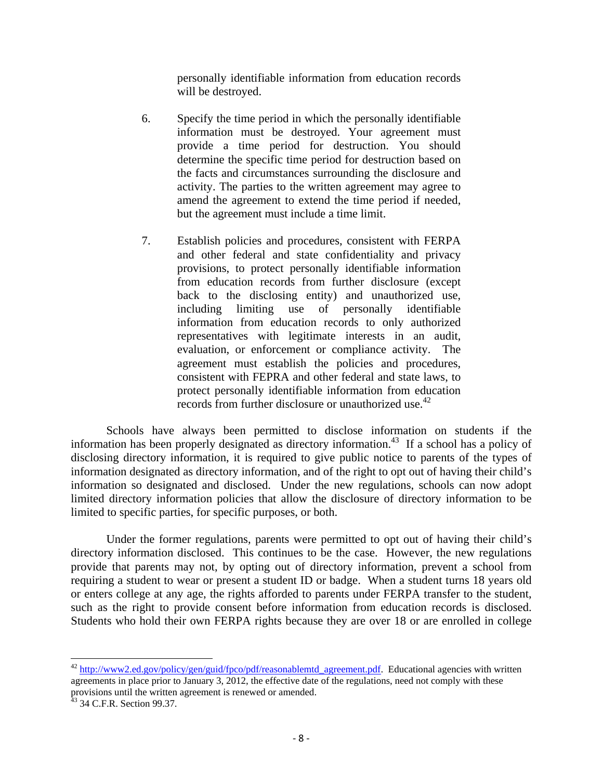personally identifiable information from education records will be destroyed.

- 6. Specify the time period in which the personally identifiable information must be destroyed. Your agreement must provide a time period for destruction. You should determine the specific time period for destruction based on the facts and circumstances surrounding the disclosure and activity. The parties to the written agreement may agree to amend the agreement to extend the time period if needed, but the agreement must include a time limit.
- 7. Establish policies and procedures, consistent with FERPA and other federal and state confidentiality and privacy provisions, to protect personally identifiable information from education records from further disclosure (except back to the disclosing entity) and unauthorized use, including limiting use of personally identifiable information from education records to only authorized representatives with legitimate interests in an audit, evaluation, or enforcement or compliance activity. The agreement must establish the policies and procedures, consistent with FEPRA and other federal and state laws, to protect personally identifiable information from education records from further disclosure or unauthorized use.<sup>42</sup>

 Schools have always been permitted to disclose information on students if the information has been properly designated as directory information.<sup>43</sup> If a school has a policy of disclosing directory information, it is required to give public notice to parents of the types of information designated as directory information, and of the right to opt out of having their child's information so designated and disclosed. Under the new regulations, schools can now adopt limited directory information policies that allow the disclosure of directory information to be limited to specific parties, for specific purposes, or both.

 Under the former regulations, parents were permitted to opt out of having their child's directory information disclosed. This continues to be the case. However, the new regulations provide that parents may not, by opting out of directory information, prevent a school from requiring a student to wear or present a student ID or badge. When a student turns 18 years old or enters college at any age, the rights afforded to parents under FERPA transfer to the student, such as the right to provide consent before information from education records is disclosed. Students who hold their own FERPA rights because they are over 18 or are enrolled in college

 $42$  http://www2.ed.gov/policy/gen/guid/fpco/pdf/reasonablemtd agreement.pdf. Educational agencies with written agreements in place prior to January 3, 2012, the effective date of the regulations, need not comply with these provisions until the written agreement is renewed or amended.

<sup>&</sup>lt;sup>43</sup> 34 C.F.R. Section 99.37.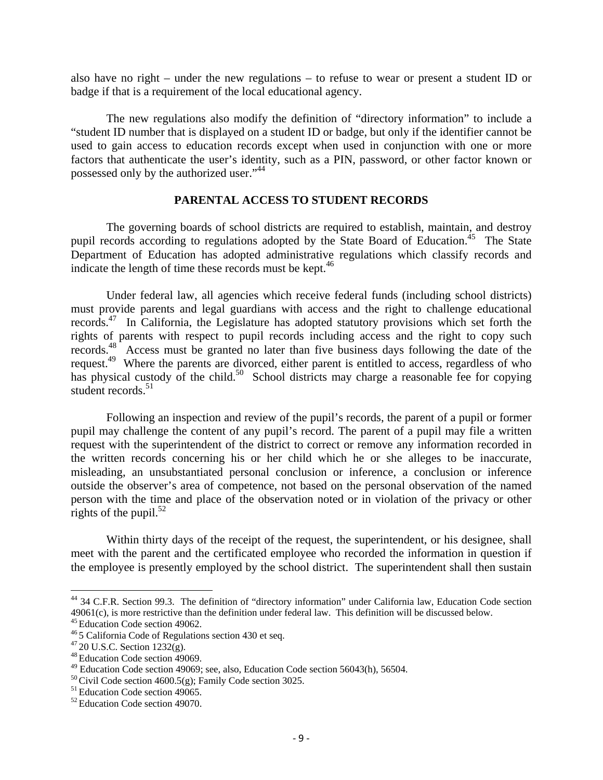also have no right – under the new regulations – to refuse to wear or present a student ID or badge if that is a requirement of the local educational agency.

 The new regulations also modify the definition of "directory information" to include a "student ID number that is displayed on a student ID or badge, but only if the identifier cannot be used to gain access to education records except when used in conjunction with one or more factors that authenticate the user's identity, such as a PIN, password, or other factor known or possessed only by the authorized user."<sup>44</sup>

#### **PARENTAL ACCESS TO STUDENT RECORDS**

The governing boards of school districts are required to establish, maintain, and destroy pupil records according to regulations adopted by the State Board of Education.<sup>45</sup> The State Department of Education has adopted administrative regulations which classify records and indicate the length of time these records must be kept. $46$ 

Under federal law, all agencies which receive federal funds (including school districts) must provide parents and legal guardians with access and the right to challenge educational records.47 In California, the Legislature has adopted statutory provisions which set forth the rights of parents with respect to pupil records including access and the right to copy such records.48 Access must be granted no later than five business days following the date of the request.<sup>49</sup> Where the parents are divorced, either parent is entitled to access, regardless of who has physical custody of the child.<sup>50</sup> School districts may charge a reasonable fee for copying student records. $51$ 

Following an inspection and review of the pupil's records, the parent of a pupil or former pupil may challenge the content of any pupil's record. The parent of a pupil may file a written request with the superintendent of the district to correct or remove any information recorded in the written records concerning his or her child which he or she alleges to be inaccurate, misleading, an unsubstantiated personal conclusion or inference, a conclusion or inference outside the observer's area of competence, not based on the personal observation of the named person with the time and place of the observation noted or in violation of the privacy or other rights of the pupil.<sup>52</sup>

Within thirty days of the receipt of the request, the superintendent, or his designee, shall meet with the parent and the certificated employee who recorded the information in question if the employee is presently employed by the school district. The superintendent shall then sustain

<sup>&</sup>lt;sup>44</sup> 34 C.F.R. Section 99.3. The definition of "directory information" under California law, Education Code section 49061(c), is more restrictive than the definition under federal law. This definition will be discussed below.<br><sup>45</sup> Education Code section 49062.<br><sup>46</sup> 5 California Code of Regulations section 430 et seq.<br><sup>47</sup> 20 U.S.C. Sec

 $49$  Education Code section 49069; see, also, Education Code section 56043(h), 56504.

<sup>&</sup>lt;sup>50</sup> Civil Code section 4600.5(g); Family Code section 3025.<br><sup>51</sup> Education Code section 49065.<br><sup>52</sup> Education Code section 49070.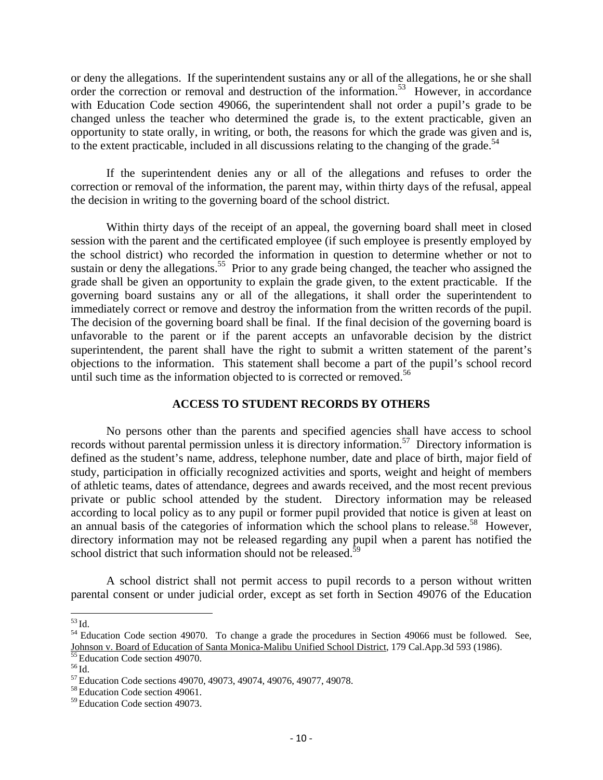or deny the allegations. If the superintendent sustains any or all of the allegations, he or she shall order the correction or removal and destruction of the information.<sup>53</sup> However, in accordance with Education Code section 49066, the superintendent shall not order a pupil's grade to be changed unless the teacher who determined the grade is, to the extent practicable, given an opportunity to state orally, in writing, or both, the reasons for which the grade was given and is, to the extent practicable, included in all discussions relating to the changing of the grade.<sup>54</sup>

If the superintendent denies any or all of the allegations and refuses to order the correction or removal of the information, the parent may, within thirty days of the refusal, appeal the decision in writing to the governing board of the school district.

Within thirty days of the receipt of an appeal, the governing board shall meet in closed session with the parent and the certificated employee (if such employee is presently employed by the school district) who recorded the information in question to determine whether or not to sustain or deny the allegations.<sup>55</sup> Prior to any grade being changed, the teacher who assigned the grade shall be given an opportunity to explain the grade given, to the extent practicable. If the governing board sustains any or all of the allegations, it shall order the superintendent to immediately correct or remove and destroy the information from the written records of the pupil. The decision of the governing board shall be final. If the final decision of the governing board is unfavorable to the parent or if the parent accepts an unfavorable decision by the district superintendent, the parent shall have the right to submit a written statement of the parent's objections to the information. This statement shall become a part of the pupil's school record until such time as the information objected to is corrected or removed.<sup>56</sup>

## **ACCESS TO STUDENT RECORDS BY OTHERS**

No persons other than the parents and specified agencies shall have access to school records without parental permission unless it is directory information.57 Directory information is defined as the student's name, address, telephone number, date and place of birth, major field of study, participation in officially recognized activities and sports, weight and height of members of athletic teams, dates of attendance, degrees and awards received, and the most recent previous private or public school attended by the student. Directory information may be released according to local policy as to any pupil or former pupil provided that notice is given at least on an annual basis of the categories of information which the school plans to release.<sup>58</sup> However, directory information may not be released regarding any pupil when a parent has notified the school district that such information should not be released. $\frac{3}{5}$ 

 A school district shall not permit access to pupil records to a person without written parental consent or under judicial order, except as set forth in Section 49076 of the Education

 $53$  Id.<br><sup>54</sup> Education Code section 49070. To change a grade the procedures in Section 49066 must be followed. See, Johnson v. Board of Education of Santa Monica-Malibu Unified School District, 179 Cal.App.3d 593 (1986).<br><sup>55</sup> Education Code section 49070.

<sup>&</sup>lt;sup>56</sup> Id.<br><sup>57</sup> Education Code sections 49070, 49073, 49074, 49076, 49077, 49078.<br><sup>58</sup> Education Code section 49061.

<sup>59</sup> Education Code section 49073.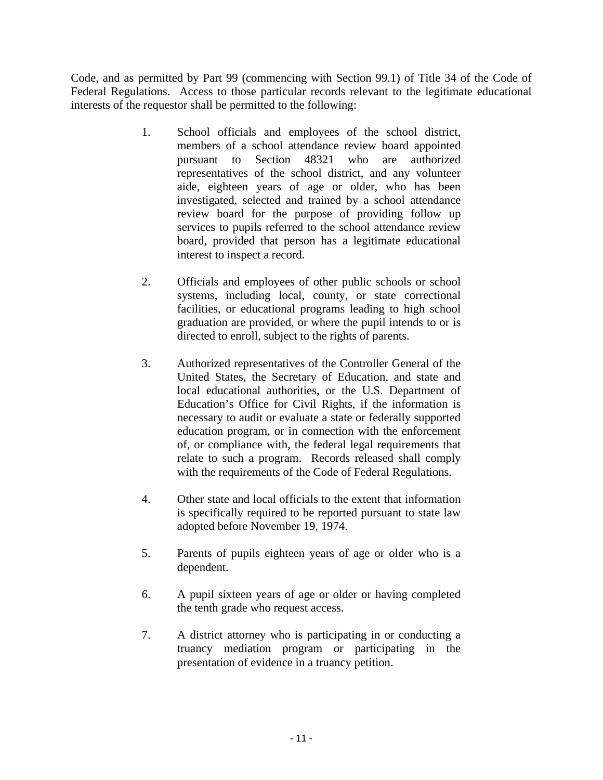Code, and as permitted by Part 99 (commencing with Section 99.1) of Title 34 of the Code of Federal Regulations. Access to those particular records relevant to the legitimate educational interests of the requestor shall be permitted to the following:

- 1. School officials and employees of the school district, members of a school attendance review board appointed pursuant to Section 48321 who are authorized representatives of the school district, and any volunteer aide, eighteen years of age or older, who has been investigated, selected and trained by a school attendance review board for the purpose of providing follow up services to pupils referred to the school attendance review board, provided that person has a legitimate educational interest to inspect a record.
- 2. Officials and employees of other public schools or school systems, including local, county, or state correctional facilities, or educational programs leading to high school graduation are provided, or where the pupil intends to or is directed to enroll, subject to the rights of parents.
- 3. Authorized representatives of the Controller General of the United States, the Secretary of Education, and state and local educational authorities, or the U.S. Department of Education's Office for Civil Rights, if the information is necessary to audit or evaluate a state or federally supported education program, or in connection with the enforcement of, or compliance with, the federal legal requirements that relate to such a program. Records released shall comply with the requirements of the Code of Federal Regulations.
- 4. Other state and local officials to the extent that information is specifically required to be reported pursuant to state law adopted before November 19, 1974.
- 5. Parents of pupils eighteen years of age or older who is a dependent.
- 6. A pupil sixteen years of age or older or having completed the tenth grade who request access.
- 7. A district attorney who is participating in or conducting a truancy mediation program or participating in the presentation of evidence in a truancy petition.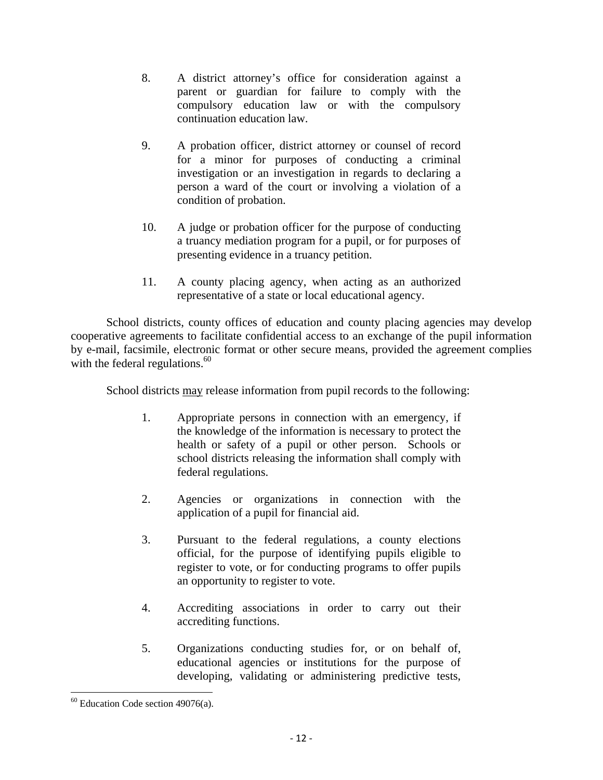- 8. A district attorney's office for consideration against a parent or guardian for failure to comply with the compulsory education law or with the compulsory continuation education law.
- 9. A probation officer, district attorney or counsel of record for a minor for purposes of conducting a criminal investigation or an investigation in regards to declaring a person a ward of the court or involving a violation of a condition of probation.
- 10. A judge or probation officer for the purpose of conducting a truancy mediation program for a pupil, or for purposes of presenting evidence in a truancy petition.
- 11. A county placing agency, when acting as an authorized representative of a state or local educational agency.

School districts, county offices of education and county placing agencies may develop cooperative agreements to facilitate confidential access to an exchange of the pupil information by e-mail, facsimile, electronic format or other secure means, provided the agreement complies with the federal regulations. $60$ 

School districts may release information from pupil records to the following:

- 1. Appropriate persons in connection with an emergency, if the knowledge of the information is necessary to protect the health or safety of a pupil or other person. Schools or school districts releasing the information shall comply with federal regulations.
- 2. Agencies or organizations in connection with the application of a pupil for financial aid.
- 3. Pursuant to the federal regulations, a county elections official, for the purpose of identifying pupils eligible to register to vote, or for conducting programs to offer pupils an opportunity to register to vote.
- 4. Accrediting associations in order to carry out their accrediting functions.
- 5. Organizations conducting studies for, or on behalf of, educational agencies or institutions for the purpose of developing, validating or administering predictive tests,

  $60$  Education Code section 49076(a).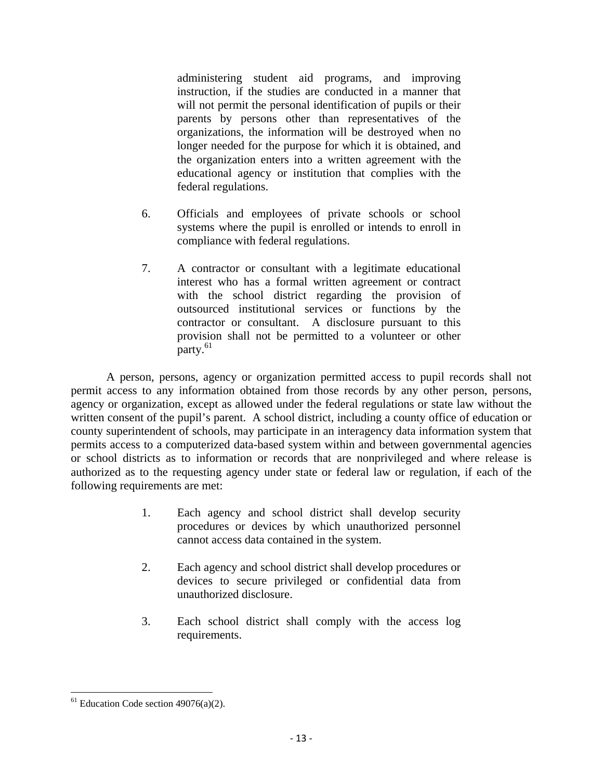administering student aid programs, and improving instruction, if the studies are conducted in a manner that will not permit the personal identification of pupils or their parents by persons other than representatives of the organizations, the information will be destroyed when no longer needed for the purpose for which it is obtained, and the organization enters into a written agreement with the educational agency or institution that complies with the federal regulations.

- 6. Officials and employees of private schools or school systems where the pupil is enrolled or intends to enroll in compliance with federal regulations.
- 7. A contractor or consultant with a legitimate educational interest who has a formal written agreement or contract with the school district regarding the provision of outsourced institutional services or functions by the contractor or consultant. A disclosure pursuant to this provision shall not be permitted to a volunteer or other party.<sup>61</sup>

A person, persons, agency or organization permitted access to pupil records shall not permit access to any information obtained from those records by any other person, persons, agency or organization, except as allowed under the federal regulations or state law without the written consent of the pupil's parent. A school district, including a county office of education or county superintendent of schools, may participate in an interagency data information system that permits access to a computerized data-based system within and between governmental agencies or school districts as to information or records that are nonprivileged and where release is authorized as to the requesting agency under state or federal law or regulation, if each of the following requirements are met:

- 1. Each agency and school district shall develop security procedures or devices by which unauthorized personnel cannot access data contained in the system.
- 2. Each agency and school district shall develop procedures or devices to secure privileged or confidential data from unauthorized disclosure.
- 3. Each school district shall comply with the access log requirements.

  $61$  Education Code section 49076(a)(2).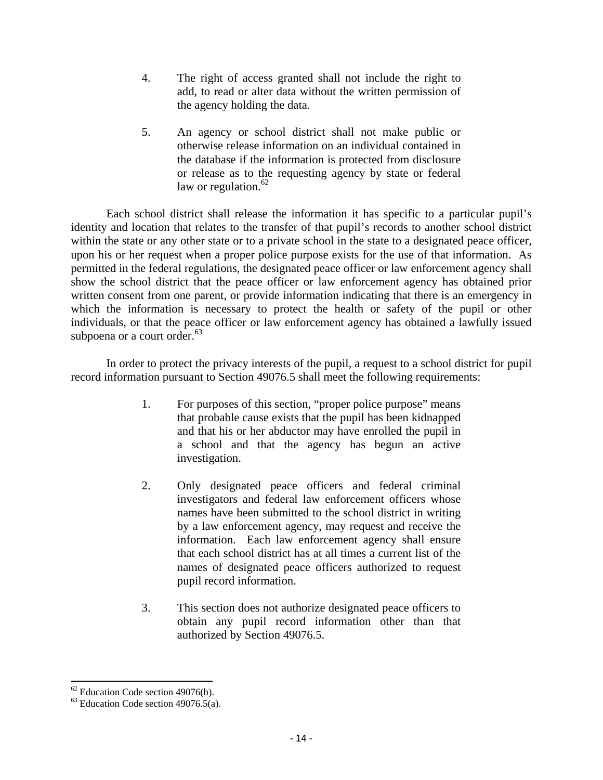- 4. The right of access granted shall not include the right to add, to read or alter data without the written permission of the agency holding the data.
- 5. An agency or school district shall not make public or otherwise release information on an individual contained in the database if the information is protected from disclosure or release as to the requesting agency by state or federal law or regulation. $62$

Each school district shall release the information it has specific to a particular pupil's identity and location that relates to the transfer of that pupil's records to another school district within the state or any other state or to a private school in the state to a designated peace officer, upon his or her request when a proper police purpose exists for the use of that information. As permitted in the federal regulations, the designated peace officer or law enforcement agency shall show the school district that the peace officer or law enforcement agency has obtained prior written consent from one parent, or provide information indicating that there is an emergency in which the information is necessary to protect the health or safety of the pupil or other individuals, or that the peace officer or law enforcement agency has obtained a lawfully issued subpoena or a court order.<sup>63</sup>

In order to protect the privacy interests of the pupil, a request to a school district for pupil record information pursuant to Section 49076.5 shall meet the following requirements:

- 1. For purposes of this section, "proper police purpose" means that probable cause exists that the pupil has been kidnapped and that his or her abductor may have enrolled the pupil in a school and that the agency has begun an active investigation.
- 2. Only designated peace officers and federal criminal investigators and federal law enforcement officers whose names have been submitted to the school district in writing by a law enforcement agency, may request and receive the information. Each law enforcement agency shall ensure that each school district has at all times a current list of the names of designated peace officers authorized to request pupil record information.
- 3. This section does not authorize designated peace officers to obtain any pupil record information other than that authorized by Section 49076.5.

  $62$  Education Code section 49076(b).

 $63$  Education Code section 49076.5(a).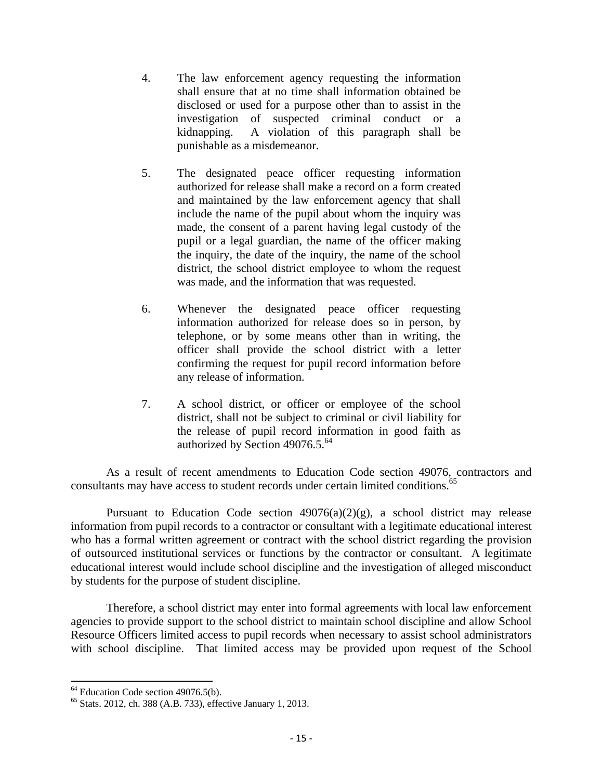- 4. The law enforcement agency requesting the information shall ensure that at no time shall information obtained be disclosed or used for a purpose other than to assist in the investigation of suspected criminal conduct or a kidnapping. A violation of this paragraph shall be punishable as a misdemeanor.
- 5. The designated peace officer requesting information authorized for release shall make a record on a form created and maintained by the law enforcement agency that shall include the name of the pupil about whom the inquiry was made, the consent of a parent having legal custody of the pupil or a legal guardian, the name of the officer making the inquiry, the date of the inquiry, the name of the school district, the school district employee to whom the request was made, and the information that was requested.
- 6. Whenever the designated peace officer requesting information authorized for release does so in person, by telephone, or by some means other than in writing, the officer shall provide the school district with a letter confirming the request for pupil record information before any release of information.
- 7. A school district, or officer or employee of the school district, shall not be subject to criminal or civil liability for the release of pupil record information in good faith as authorized by Section  $49076.5.^{64}$

 As a result of recent amendments to Education Code section 49076, contractors and consultants may have access to student records under certain limited conditions.<sup>65</sup>

Pursuant to Education Code section  $49076(a)(2)(g)$ , a school district may release information from pupil records to a contractor or consultant with a legitimate educational interest who has a formal written agreement or contract with the school district regarding the provision of outsourced institutional services or functions by the contractor or consultant. A legitimate educational interest would include school discipline and the investigation of alleged misconduct by students for the purpose of student discipline.

 Therefore, a school district may enter into formal agreements with local law enforcement agencies to provide support to the school district to maintain school discipline and allow School Resource Officers limited access to pupil records when necessary to assist school administrators with school discipline. That limited access may be provided upon request of the School

 <sup>64</sup> Education Code section 49076.5(b).

<sup>65</sup> Stats. 2012, ch. 388 (A.B. 733), effective January 1, 2013.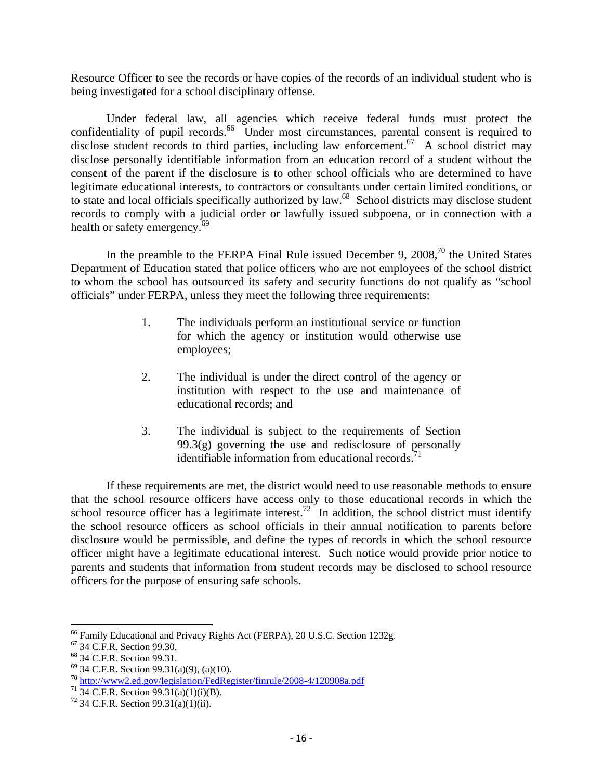Resource Officer to see the records or have copies of the records of an individual student who is being investigated for a school disciplinary offense.

 Under federal law, all agencies which receive federal funds must protect the confidentiality of pupil records. $66\degree$  Under most circumstances, parental consent is required to disclose student records to third parties, including law enforcement.<sup>67</sup> A school district may disclose personally identifiable information from an education record of a student without the consent of the parent if the disclosure is to other school officials who are determined to have legitimate educational interests, to contractors or consultants under certain limited conditions, or to state and local officials specifically authorized by law.<sup>68</sup> School districts may disclose student records to comply with a judicial order or lawfully issued subpoena, or in connection with a health or safety emergency.<sup>69</sup>

In the preamble to the FERPA Final Rule issued December 9,  $2008<sup>70</sup>$ , the United States Department of Education stated that police officers who are not employees of the school district to whom the school has outsourced its safety and security functions do not qualify as "school officials" under FERPA, unless they meet the following three requirements:

- 1. The individuals perform an institutional service or function for which the agency or institution would otherwise use employees;
- 2. The individual is under the direct control of the agency or institution with respect to the use and maintenance of educational records; and
- 3. The individual is subject to the requirements of Section 99.3(g) governing the use and redisclosure of personally identifiable information from educational records. $\overline{7}$

 If these requirements are met, the district would need to use reasonable methods to ensure that the school resource officers have access only to those educational records in which the school resource officer has a legitimate interest.<sup>72</sup> In addition, the school district must identify the school resource officers as school officials in their annual notification to parents before disclosure would be permissible, and define the types of records in which the school resource officer might have a legitimate educational interest. Such notice would provide prior notice to parents and students that information from student records may be disclosed to school resource officers for the purpose of ensuring safe schools.

 <sup>66</sup> Family Educational and Privacy Rights Act (FERPA), 20 U.S.C. Section 1232g. <sup>67</sup> 34 C.F.R. Section 99.30.

<sup>68 34</sup> C.F.R. Section 99.31.

 $69$  34 C.F.R. Section 99.31(a)(9), (a)(10).

<sup>&</sup>lt;sup>70</sup> http://www2.ed.gov/legislation/FedRegister/finrule/2008-4/120908a.pdf<br><sup>71</sup> 34 C.F.R. Section 99.31(a)(1)(i)(B).

 $72$  34 C.F.R. Section 99.31(a)(1)(ii).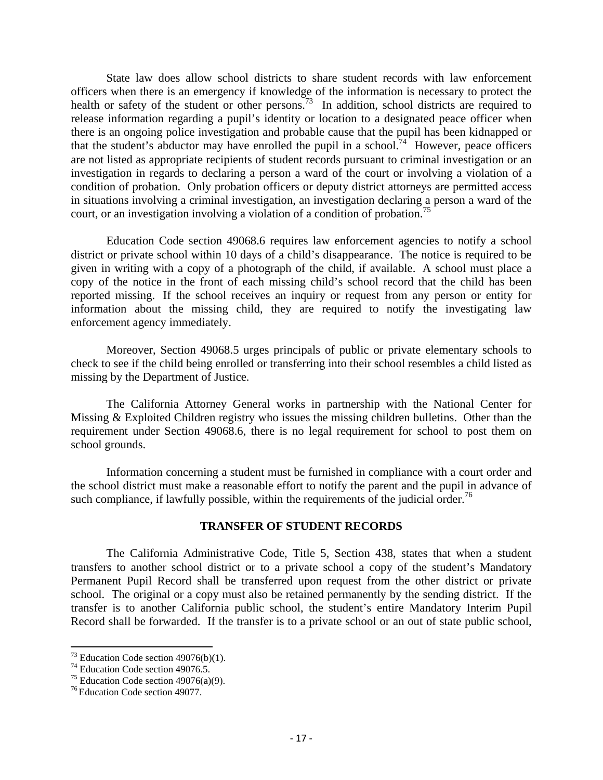State law does allow school districts to share student records with law enforcement officers when there is an emergency if knowledge of the information is necessary to protect the health or safety of the student or other persons.<sup>73</sup> In addition, school districts are required to release information regarding a pupil's identity or location to a designated peace officer when there is an ongoing police investigation and probable cause that the pupil has been kidnapped or that the student's abductor may have enrolled the pupil in a school.<sup>74</sup> However, peace officers are not listed as appropriate recipients of student records pursuant to criminal investigation or an investigation in regards to declaring a person a ward of the court or involving a violation of a condition of probation. Only probation officers or deputy district attorneys are permitted access in situations involving a criminal investigation, an investigation declaring a person a ward of the court, or an investigation involving a violation of a condition of probation.<sup>75</sup>

Education Code section 49068.6 requires law enforcement agencies to notify a school district or private school within 10 days of a child's disappearance. The notice is required to be given in writing with a copy of a photograph of the child, if available. A school must place a copy of the notice in the front of each missing child's school record that the child has been reported missing. If the school receives an inquiry or request from any person or entity for information about the missing child, they are required to notify the investigating law enforcement agency immediately.

 Moreover, Section 49068.5 urges principals of public or private elementary schools to check to see if the child being enrolled or transferring into their school resembles a child listed as missing by the Department of Justice.

 The California Attorney General works in partnership with the National Center for Missing & Exploited Children registry who issues the missing children bulletins. Other than the requirement under Section 49068.6, there is no legal requirement for school to post them on school grounds.

Information concerning a student must be furnished in compliance with a court order and the school district must make a reasonable effort to notify the parent and the pupil in advance of such compliance, if lawfully possible, within the requirements of the judicial order.<sup>76</sup>

## **TRANSFER OF STUDENT RECORDS**

The California Administrative Code, Title 5, Section 438, states that when a student transfers to another school district or to a private school a copy of the student's Mandatory Permanent Pupil Record shall be transferred upon request from the other district or private school. The original or a copy must also be retained permanently by the sending district. If the transfer is to another California public school, the student's entire Mandatory Interim Pupil Record shall be forwarded. If the transfer is to a private school or an out of state public school,

  $73$  Education Code section 49076(b)(1).

<sup>&</sup>lt;sup>74</sup> Education Code section 49076.5.

<sup>&</sup>lt;sup>75</sup> Education Code section  $49076(a)(9)$ .

<sup>76</sup> Education Code section 49077.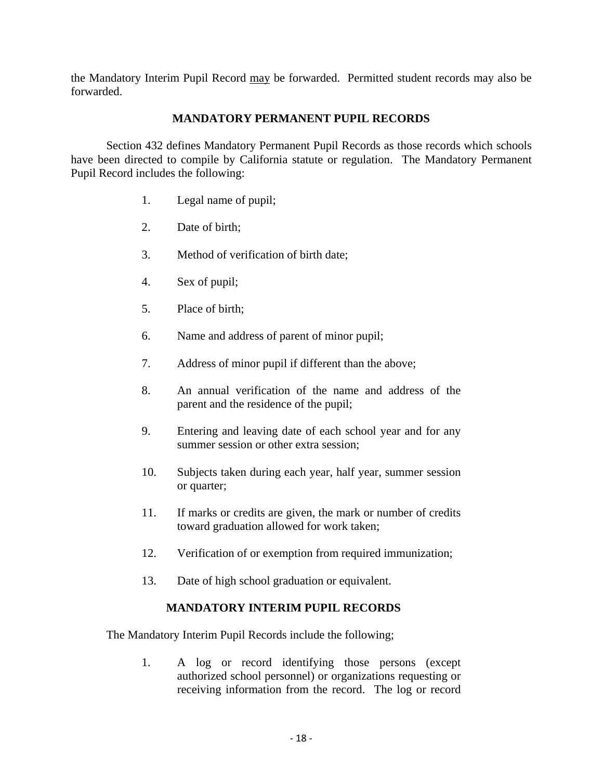the Mandatory Interim Pupil Record may be forwarded. Permitted student records may also be forwarded.

## **MANDATORY PERMANENT PUPIL RECORDS**

Section 432 defines Mandatory Permanent Pupil Records as those records which schools have been directed to compile by California statute or regulation. The Mandatory Permanent Pupil Record includes the following:

- 1. Legal name of pupil;
- 2. Date of birth;
- 3. Method of verification of birth date;
- 4. Sex of pupil;
- 5. Place of birth;
- 6. Name and address of parent of minor pupil;
- 7. Address of minor pupil if different than the above;
- 8. An annual verification of the name and address of the parent and the residence of the pupil;
- 9. Entering and leaving date of each school year and for any summer session or other extra session;
- 10. Subjects taken during each year, half year, summer session or quarter;
- 11. If marks or credits are given, the mark or number of credits toward graduation allowed for work taken;
- 12. Verification of or exemption from required immunization;
- 13. Date of high school graduation or equivalent.

## **MANDATORY INTERIM PUPIL RECORDS**

The Mandatory Interim Pupil Records include the following;

1. A log or record identifying those persons (except authorized school personnel) or organizations requesting or receiving information from the record. The log or record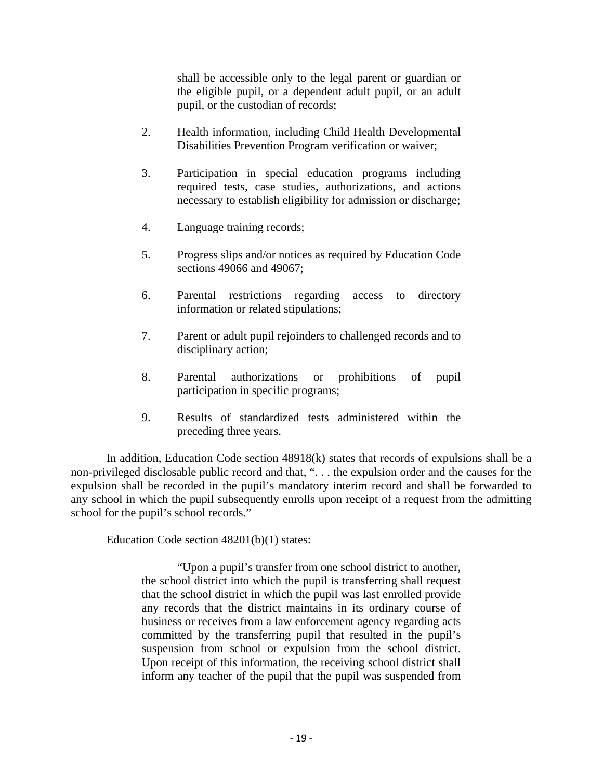shall be accessible only to the legal parent or guardian or the eligible pupil, or a dependent adult pupil, or an adult pupil, or the custodian of records;

- 2. Health information, including Child Health Developmental Disabilities Prevention Program verification or waiver;
- 3. Participation in special education programs including required tests, case studies, authorizations, and actions necessary to establish eligibility for admission or discharge;
- 4. Language training records;
- 5. Progress slips and/or notices as required by Education Code sections 49066 and 49067;
- 6. Parental restrictions regarding access to directory information or related stipulations;
- 7. Parent or adult pupil rejoinders to challenged records and to disciplinary action;
- 8. Parental authorizations or prohibitions of pupil participation in specific programs;
- 9. Results of standardized tests administered within the preceding three years.

In addition, Education Code section 48918(k) states that records of expulsions shall be a non-privileged disclosable public record and that, ". . . the expulsion order and the causes for the expulsion shall be recorded in the pupil's mandatory interim record and shall be forwarded to any school in which the pupil subsequently enrolls upon receipt of a request from the admitting school for the pupil's school records."

Education Code section 48201(b)(1) states:

"Upon a pupil's transfer from one school district to another, the school district into which the pupil is transferring shall request that the school district in which the pupil was last enrolled provide any records that the district maintains in its ordinary course of business or receives from a law enforcement agency regarding acts committed by the transferring pupil that resulted in the pupil's suspension from school or expulsion from the school district. Upon receipt of this information, the receiving school district shall inform any teacher of the pupil that the pupil was suspended from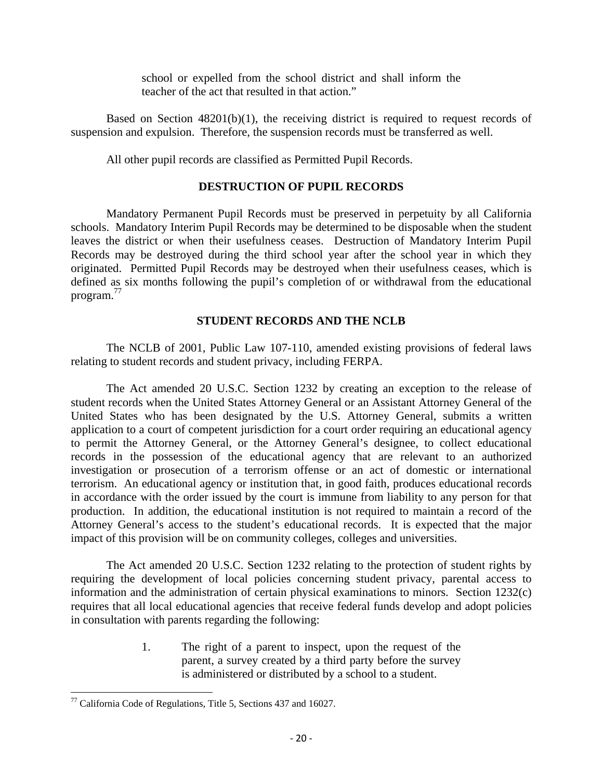school or expelled from the school district and shall inform the teacher of the act that resulted in that action."

Based on Section 48201(b)(1), the receiving district is required to request records of suspension and expulsion. Therefore, the suspension records must be transferred as well.

All other pupil records are classified as Permitted Pupil Records.

## **DESTRUCTION OF PUPIL RECORDS**

Mandatory Permanent Pupil Records must be preserved in perpetuity by all California schools. Mandatory Interim Pupil Records may be determined to be disposable when the student leaves the district or when their usefulness ceases. Destruction of Mandatory Interim Pupil Records may be destroyed during the third school year after the school year in which they originated. Permitted Pupil Records may be destroyed when their usefulness ceases, which is defined as six months following the pupil's completion of or withdrawal from the educational program.<sup>77</sup>

## **STUDENT RECORDS AND THE NCLB**

The NCLB of 2001, Public Law 107-110, amended existing provisions of federal laws relating to student records and student privacy, including FERPA.

The Act amended 20 U.S.C. Section 1232 by creating an exception to the release of student records when the United States Attorney General or an Assistant Attorney General of the United States who has been designated by the U.S. Attorney General, submits a written application to a court of competent jurisdiction for a court order requiring an educational agency to permit the Attorney General, or the Attorney General's designee, to collect educational records in the possession of the educational agency that are relevant to an authorized investigation or prosecution of a terrorism offense or an act of domestic or international terrorism. An educational agency or institution that, in good faith, produces educational records in accordance with the order issued by the court is immune from liability to any person for that production. In addition, the educational institution is not required to maintain a record of the Attorney General's access to the student's educational records. It is expected that the major impact of this provision will be on community colleges, colleges and universities.

The Act amended 20 U.S.C. Section 1232 relating to the protection of student rights by requiring the development of local policies concerning student privacy, parental access to information and the administration of certain physical examinations to minors. Section 1232(c) requires that all local educational agencies that receive federal funds develop and adopt policies in consultation with parents regarding the following:

> 1. The right of a parent to inspect, upon the request of the parent, a survey created by a third party before the survey is administered or distributed by a school to a student.

  $77$  California Code of Regulations, Title 5, Sections 437 and 16027.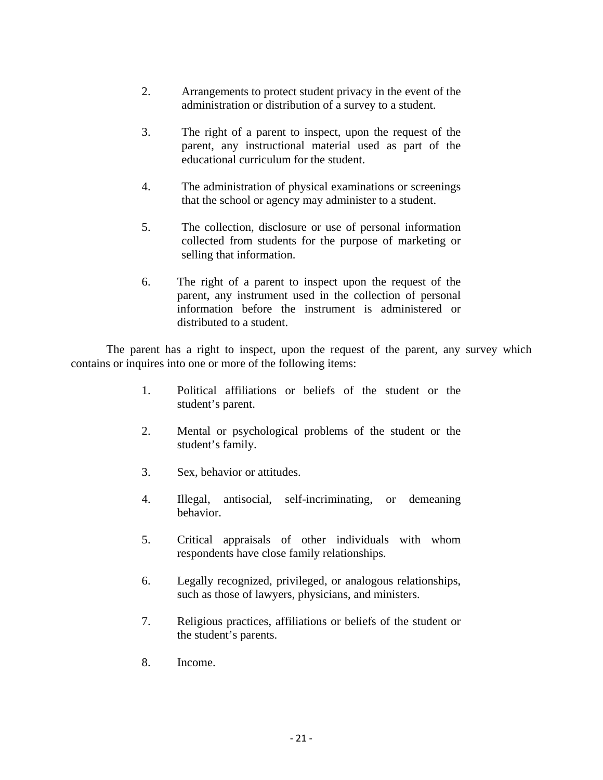- 2. Arrangements to protect student privacy in the event of the administration or distribution of a survey to a student.
- 3. The right of a parent to inspect, upon the request of the parent, any instructional material used as part of the educational curriculum for the student.
- 4. The administration of physical examinations or screenings that the school or agency may administer to a student.
- 5. The collection, disclosure or use of personal information collected from students for the purpose of marketing or selling that information.
- 6. The right of a parent to inspect upon the request of the parent, any instrument used in the collection of personal information before the instrument is administered or distributed to a student.

The parent has a right to inspect, upon the request of the parent, any survey which contains or inquires into one or more of the following items:

- 1. Political affiliations or beliefs of the student or the student's parent.
- 2. Mental or psychological problems of the student or the student's family.
- 3. Sex, behavior or attitudes.
- 4. Illegal, antisocial, self-incriminating, or demeaning behavior.
- 5. Critical appraisals of other individuals with whom respondents have close family relationships.
- 6. Legally recognized, privileged, or analogous relationships, such as those of lawyers, physicians, and ministers.
- 7. Religious practices, affiliations or beliefs of the student or the student's parents.
- 8. Income.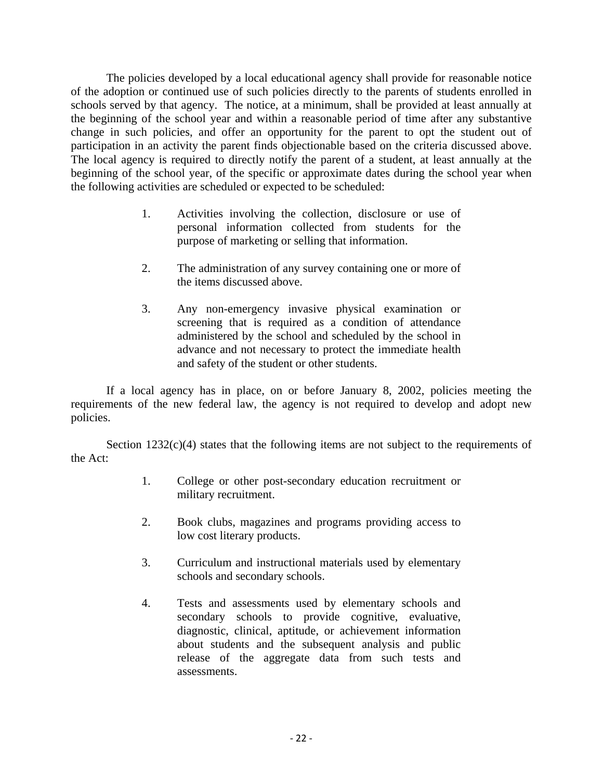The policies developed by a local educational agency shall provide for reasonable notice of the adoption or continued use of such policies directly to the parents of students enrolled in schools served by that agency. The notice, at a minimum, shall be provided at least annually at the beginning of the school year and within a reasonable period of time after any substantive change in such policies, and offer an opportunity for the parent to opt the student out of participation in an activity the parent finds objectionable based on the criteria discussed above. The local agency is required to directly notify the parent of a student, at least annually at the beginning of the school year, of the specific or approximate dates during the school year when the following activities are scheduled or expected to be scheduled:

- 1. Activities involving the collection, disclosure or use of personal information collected from students for the purpose of marketing or selling that information.
- 2. The administration of any survey containing one or more of the items discussed above.
- 3. Any non-emergency invasive physical examination or screening that is required as a condition of attendance administered by the school and scheduled by the school in advance and not necessary to protect the immediate health and safety of the student or other students.

If a local agency has in place, on or before January 8, 2002, policies meeting the requirements of the new federal law, the agency is not required to develop and adopt new policies.

Section  $1232(c)(4)$  states that the following items are not subject to the requirements of the Act:

- 1. College or other post-secondary education recruitment or military recruitment.
- 2. Book clubs, magazines and programs providing access to low cost literary products.
- 3. Curriculum and instructional materials used by elementary schools and secondary schools.
- 4. Tests and assessments used by elementary schools and secondary schools to provide cognitive, evaluative, diagnostic, clinical, aptitude, or achievement information about students and the subsequent analysis and public release of the aggregate data from such tests and assessments.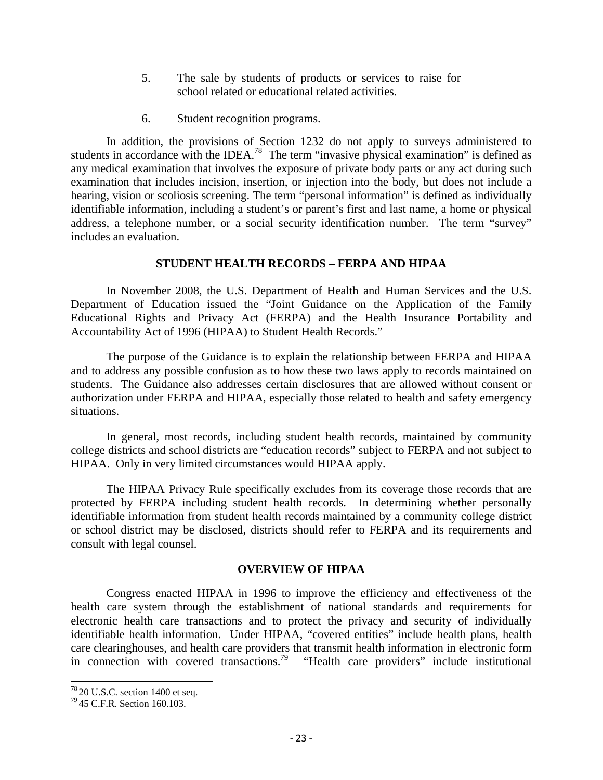- 5. The sale by students of products or services to raise for school related or educational related activities.
- 6. Student recognition programs.

In addition, the provisions of Section 1232 do not apply to surveys administered to students in accordance with the IDEA.<sup>78</sup> The term "invasive physical examination" is defined as any medical examination that involves the exposure of private body parts or any act during such examination that includes incision, insertion, or injection into the body, but does not include a hearing, vision or scoliosis screening. The term "personal information" is defined as individually identifiable information, including a student's or parent's first and last name, a home or physical address, a telephone number, or a social security identification number. The term "survey" includes an evaluation.

## **STUDENT HEALTH RECORDS – FERPA AND HIPAA**

In November 2008, the U.S. Department of Health and Human Services and the U.S. Department of Education issued the "Joint Guidance on the Application of the Family Educational Rights and Privacy Act (FERPA) and the Health Insurance Portability and Accountability Act of 1996 (HIPAA) to Student Health Records."

The purpose of the Guidance is to explain the relationship between FERPA and HIPAA and to address any possible confusion as to how these two laws apply to records maintained on students. The Guidance also addresses certain disclosures that are allowed without consent or authorization under FERPA and HIPAA, especially those related to health and safety emergency situations.

In general, most records, including student health records, maintained by community college districts and school districts are "education records" subject to FERPA and not subject to HIPAA. Only in very limited circumstances would HIPAA apply.

The HIPAA Privacy Rule specifically excludes from its coverage those records that are protected by FERPA including student health records. In determining whether personally identifiable information from student health records maintained by a community college district or school district may be disclosed, districts should refer to FERPA and its requirements and consult with legal counsel.

## **OVERVIEW OF HIPAA**

Congress enacted HIPAA in 1996 to improve the efficiency and effectiveness of the health care system through the establishment of national standards and requirements for electronic health care transactions and to protect the privacy and security of individually identifiable health information. Under HIPAA, "covered entities" include health plans, health care clearinghouses, and health care providers that transmit health information in electronic form in connection with covered transactions.<sup>79</sup> "Health care providers" include institutional

 $^{78}$  20 U.S.C. section 1400 et seq.<br> $^{79}$  45 C.F.R. Section 160.103.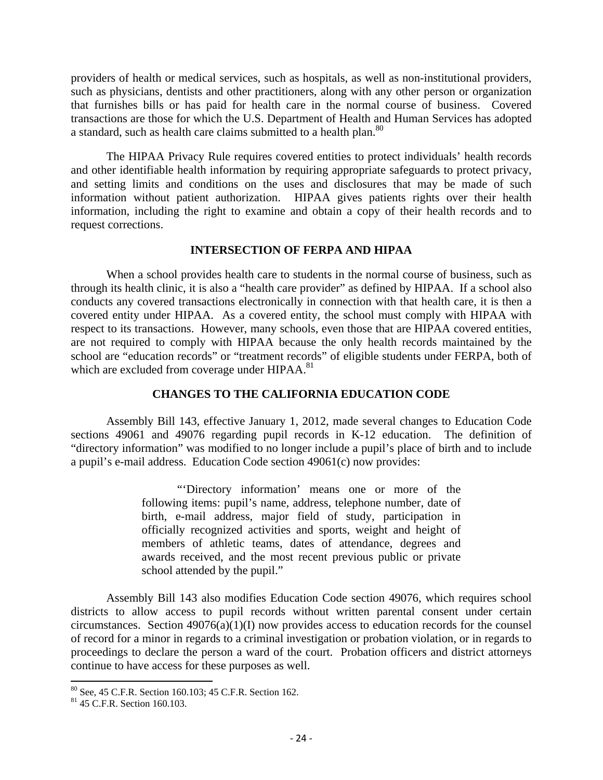providers of health or medical services, such as hospitals, as well as non-institutional providers, such as physicians, dentists and other practitioners, along with any other person or organization that furnishes bills or has paid for health care in the normal course of business. Covered transactions are those for which the U.S. Department of Health and Human Services has adopted a standard, such as health care claims submitted to a health plan.<sup>80</sup>

The HIPAA Privacy Rule requires covered entities to protect individuals' health records and other identifiable health information by requiring appropriate safeguards to protect privacy, and setting limits and conditions on the uses and disclosures that may be made of such information without patient authorization. HIPAA gives patients rights over their health information, including the right to examine and obtain a copy of their health records and to request corrections.

#### **INTERSECTION OF FERPA AND HIPAA**

When a school provides health care to students in the normal course of business, such as through its health clinic, it is also a "health care provider" as defined by HIPAA. If a school also conducts any covered transactions electronically in connection with that health care, it is then a covered entity under HIPAA. As a covered entity, the school must comply with HIPAA with respect to its transactions. However, many schools, even those that are HIPAA covered entities, are not required to comply with HIPAA because the only health records maintained by the school are "education records" or "treatment records" of eligible students under FERPA, both of which are excluded from coverage under HIPAA.<sup>81</sup>

## **CHANGES TO THE CALIFORNIA EDUCATION CODE**

 Assembly Bill 143, effective January 1, 2012, made several changes to Education Code sections 49061 and 49076 regarding pupil records in K-12 education. The definition of "directory information" was modified to no longer include a pupil's place of birth and to include a pupil's e-mail address. Education Code section 49061(c) now provides:

> "'Directory information' means one or more of the following items: pupil's name, address, telephone number, date of birth, e-mail address, major field of study, participation in officially recognized activities and sports, weight and height of members of athletic teams, dates of attendance, degrees and awards received, and the most recent previous public or private school attended by the pupil."

 Assembly Bill 143 also modifies Education Code section 49076, which requires school districts to allow access to pupil records without written parental consent under certain circumstances. Section  $49076(a)(1)(I)$  now provides access to education records for the counsel of record for a minor in regards to a criminal investigation or probation violation, or in regards to proceedings to declare the person a ward of the court. Probation officers and district attorneys continue to have access for these purposes as well.

<sup>&</sup>lt;sup>80</sup> See, 45 C.F.R. Section 160.103; 45 C.F.R. Section 162.<br><sup>81</sup> 45 C.F.R. Section 160.103.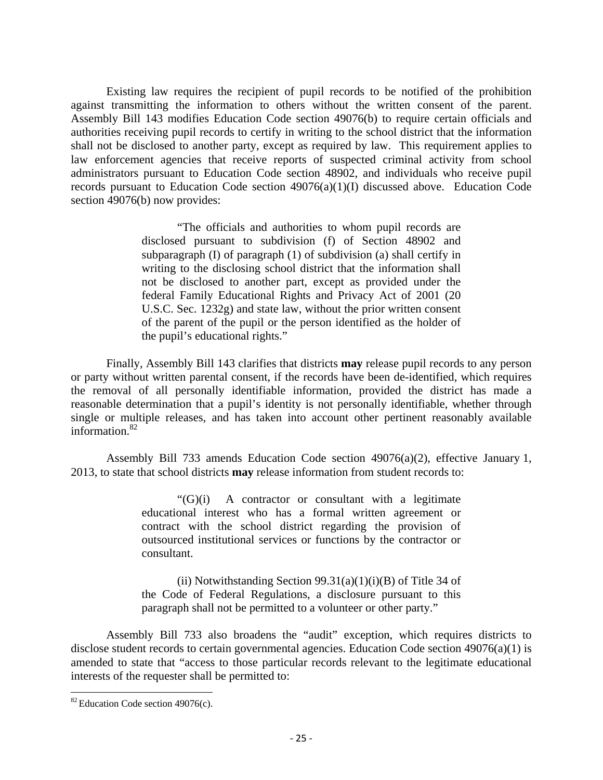Existing law requires the recipient of pupil records to be notified of the prohibition against transmitting the information to others without the written consent of the parent. Assembly Bill 143 modifies Education Code section 49076(b) to require certain officials and authorities receiving pupil records to certify in writing to the school district that the information shall not be disclosed to another party, except as required by law. This requirement applies to law enforcement agencies that receive reports of suspected criminal activity from school administrators pursuant to Education Code section 48902, and individuals who receive pupil records pursuant to Education Code section 49076(a)(1)(I) discussed above. Education Code section 49076(b) now provides:

> "The officials and authorities to whom pupil records are disclosed pursuant to subdivision (f) of Section 48902 and subparagraph (I) of paragraph (1) of subdivision (a) shall certify in writing to the disclosing school district that the information shall not be disclosed to another part, except as provided under the federal Family Educational Rights and Privacy Act of 2001 (20 U.S.C. Sec. 1232g) and state law, without the prior written consent of the parent of the pupil or the person identified as the holder of the pupil's educational rights."

 Finally, Assembly Bill 143 clarifies that districts **may** release pupil records to any person or party without written parental consent, if the records have been de-identified, which requires the removal of all personally identifiable information, provided the district has made a reasonable determination that a pupil's identity is not personally identifiable, whether through single or multiple releases, and has taken into account other pertinent reasonably available information.82

Assembly Bill 733 amends Education Code section  $49076(a)(2)$ , effective January 1, 2013, to state that school districts **may** release information from student records to:

> "(G)(i) A contractor or consultant with a legitimate educational interest who has a formal written agreement or contract with the school district regarding the provision of outsourced institutional services or functions by the contractor or consultant.

> (ii) Notwithstanding Section  $99.31(a)(1)(i)(B)$  of Title 34 of the Code of Federal Regulations, a disclosure pursuant to this paragraph shall not be permitted to a volunteer or other party."

 Assembly Bill 733 also broadens the "audit" exception, which requires districts to disclose student records to certain governmental agencies. Education Code section 49076(a)(1) is amended to state that "access to those particular records relevant to the legitimate educational interests of the requester shall be permitted to:

  $82$  Education Code section 49076(c).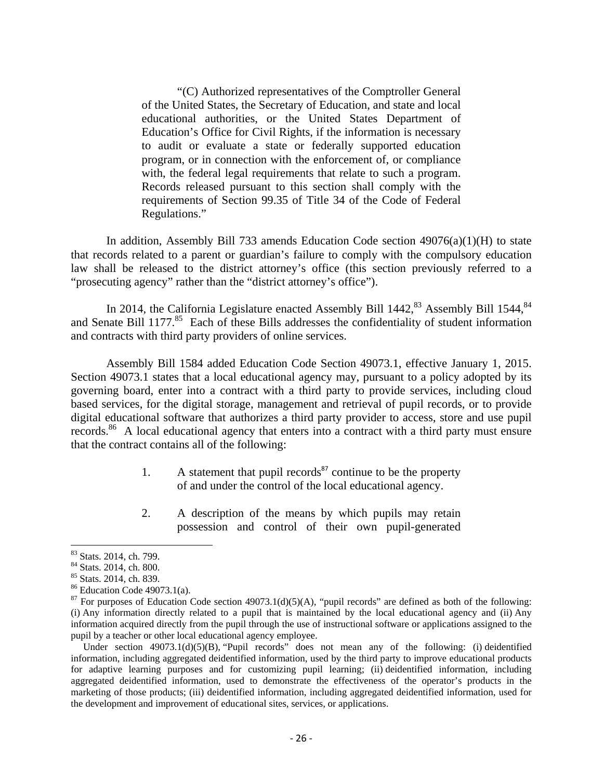"(C) Authorized representatives of the Comptroller General of the United States, the Secretary of Education, and state and local educational authorities, or the United States Department of Education's Office for Civil Rights, if the information is necessary to audit or evaluate a state or federally supported education program, or in connection with the enforcement of, or compliance with, the federal legal requirements that relate to such a program. Records released pursuant to this section shall comply with the requirements of Section 99.35 of Title 34 of the Code of Federal Regulations."

In addition, Assembly Bill 733 amends Education Code section  $49076(a)(1)(H)$  to state that records related to a parent or guardian's failure to comply with the compulsory education law shall be released to the district attorney's office (this section previously referred to a "prosecuting agency" rather than the "district attorney's office").

In 2014, the California Legislature enacted Assembly Bill  $1442$ <sup>83</sup> Assembly Bill  $1544$ <sup>84</sup> and Senate Bill 1177.<sup>85</sup> Each of these Bills addresses the confidentiality of student information and contracts with third party providers of online services.

 Assembly Bill 1584 added Education Code Section 49073.1, effective January 1, 2015. Section 49073.1 states that a local educational agency may, pursuant to a policy adopted by its governing board, enter into a contract with a third party to provide services, including cloud based services, for the digital storage, management and retrieval of pupil records, or to provide digital educational software that authorizes a third party provider to access, store and use pupil records.<sup>86</sup> A local educational agency that enters into a contract with a third party must ensure that the contract contains all of the following:

- 1. A statement that pupil records<sup>87</sup> continue to be the property of and under the control of the local educational agency.
- 2. A description of the means by which pupils may retain possession and control of their own pupil-generated

Under section  $49073.1(d)(5)(B)$ , "Pupil records" does not mean any of the following: (i) deidentified information, including aggregated deidentified information, used by the third party to improve educational products for adaptive learning purposes and for customizing pupil learning; (ii) deidentified information, including aggregated deidentified information, used to demonstrate the effectiveness of the operator's products in the marketing of those products; (iii) deidentified information, including aggregated deidentified information, used for the development and improvement of educational sites, services, or applications.

<sup>83</sup> Stats. 2014, ch. 799.

<sup>84</sup> Stats. 2014, ch. 800.

<sup>85</sup> Stats. 2014, ch. 839.

<sup>86</sup> Education Code 49073.1(a).

<sup>&</sup>lt;sup>87</sup> For purposes of Education Code section 49073.1(d)(5)(A), "pupil records" are defined as both of the following: (i) Any information directly related to a pupil that is maintained by the local educational agency and (ii) Any information acquired directly from the pupil through the use of instructional software or applications assigned to the pupil by a teacher or other local educational agency employee.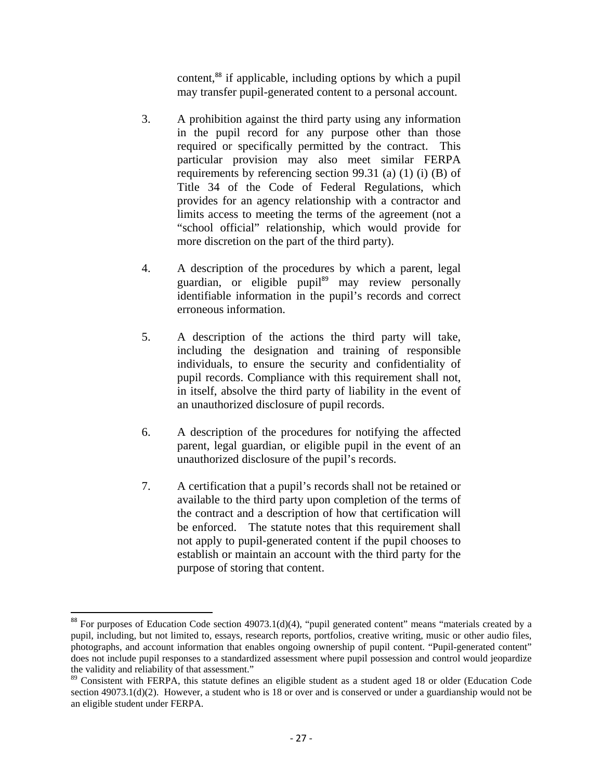content,<sup>88</sup> if applicable, including options by which a pupil may transfer pupil-generated content to a personal account.

- 3. A prohibition against the third party using any information in the pupil record for any purpose other than those required or specifically permitted by the contract. This particular provision may also meet similar FERPA requirements by referencing section 99.31 (a) (1) (i) (B) of Title 34 of the Code of Federal Regulations, which provides for an agency relationship with a contractor and limits access to meeting the terms of the agreement (not a "school official" relationship, which would provide for more discretion on the part of the third party).
- 4. A description of the procedures by which a parent, legal guardian, or eligible pupil $\frac{89}{9}$  may review personally identifiable information in the pupil's records and correct erroneous information.
- 5. A description of the actions the third party will take, including the designation and training of responsible individuals, to ensure the security and confidentiality of pupil records. Compliance with this requirement shall not, in itself, absolve the third party of liability in the event of an unauthorized disclosure of pupil records.
- 6. A description of the procedures for notifying the affected parent, legal guardian, or eligible pupil in the event of an unauthorized disclosure of the pupil's records.
- 7. A certification that a pupil's records shall not be retained or available to the third party upon completion of the terms of the contract and a description of how that certification will be enforced. The statute notes that this requirement shall not apply to pupil-generated content if the pupil chooses to establish or maintain an account with the third party for the purpose of storing that content.

 $88$  For purposes of Education Code section 49073.1(d)(4), "pupil generated content" means "materials created by a pupil, including, but not limited to, essays, research reports, portfolios, creative writing, music or other audio files, photographs, and account information that enables ongoing ownership of pupil content. "Pupil-generated content" does not include pupil responses to a standardized assessment where pupil possession and control would jeopardize the validity and reliability of that assessment."

<sup>&</sup>lt;sup>89</sup> Consistent with FERPA, this statute defines an eligible student as a student aged 18 or older (Education Code section 49073.1(d)(2). However, a student who is 18 or over and is conserved or under a guardianship would not be an eligible student under FERPA.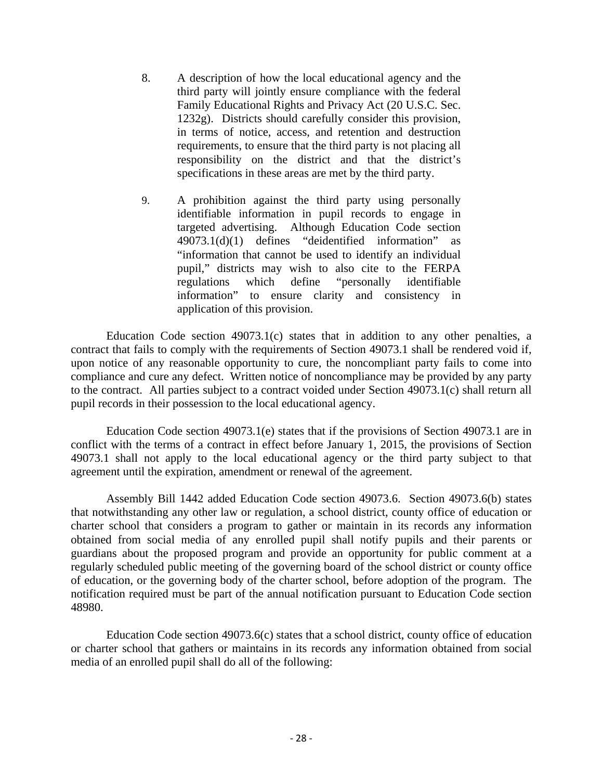- 8. A description of how the local educational agency and the third party will jointly ensure compliance with the federal Family Educational Rights and Privacy Act (20 U.S.C. Sec. 1232g). Districts should carefully consider this provision, in terms of notice, access, and retention and destruction requirements, to ensure that the third party is not placing all responsibility on the district and that the district's specifications in these areas are met by the third party.
- 9. A prohibition against the third party using personally identifiable information in pupil records to engage in targeted advertising. Although Education Code section 49073.1(d)(1) defines "deidentified information" as "information that cannot be used to identify an individual pupil," districts may wish to also cite to the FERPA regulations which define "personally identifiable information" to ensure clarity and consistency in application of this provision.

Education Code section 49073.1(c) states that in addition to any other penalties, a contract that fails to comply with the requirements of Section 49073.1 shall be rendered void if, upon notice of any reasonable opportunity to cure, the noncompliant party fails to come into compliance and cure any defect. Written notice of noncompliance may be provided by any party to the contract. All parties subject to a contract voided under Section 49073.1(c) shall return all pupil records in their possession to the local educational agency.

Education Code section 49073.1(e) states that if the provisions of Section 49073.1 are in conflict with the terms of a contract in effect before January 1, 2015, the provisions of Section 49073.1 shall not apply to the local educational agency or the third party subject to that agreement until the expiration, amendment or renewal of the agreement.

Assembly Bill 1442 added Education Code section 49073.6. Section 49073.6(b) states that notwithstanding any other law or regulation, a school district, county office of education or charter school that considers a program to gather or maintain in its records any information obtained from social media of any enrolled pupil shall notify pupils and their parents or guardians about the proposed program and provide an opportunity for public comment at a regularly scheduled public meeting of the governing board of the school district or county office of education, or the governing body of the charter school, before adoption of the program. The notification required must be part of the annual notification pursuant to Education Code section 48980.

Education Code section 49073.6(c) states that a school district, county office of education or charter school that gathers or maintains in its records any information obtained from social media of an enrolled pupil shall do all of the following: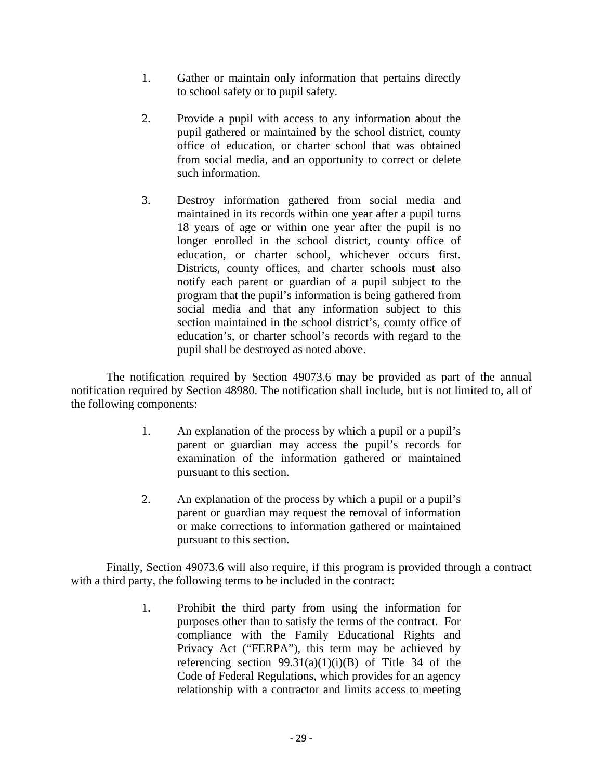- 1. Gather or maintain only information that pertains directly to school safety or to pupil safety.
- 2. Provide a pupil with access to any information about the pupil gathered or maintained by the school district, county office of education, or charter school that was obtained from social media, and an opportunity to correct or delete such information.
- 3. Destroy information gathered from social media and maintained in its records within one year after a pupil turns 18 years of age or within one year after the pupil is no longer enrolled in the school district, county office of education, or charter school, whichever occurs first. Districts, county offices, and charter schools must also notify each parent or guardian of a pupil subject to the program that the pupil's information is being gathered from social media and that any information subject to this section maintained in the school district's, county office of education's, or charter school's records with regard to the pupil shall be destroyed as noted above.

 The notification required by Section 49073.6 may be provided as part of the annual notification required by Section 48980. The notification shall include, but is not limited to, all of the following components:

- 1. An explanation of the process by which a pupil or a pupil's parent or guardian may access the pupil's records for examination of the information gathered or maintained pursuant to this section.
- 2. An explanation of the process by which a pupil or a pupil's parent or guardian may request the removal of information or make corrections to information gathered or maintained pursuant to this section.

Finally, Section 49073.6 will also require, if this program is provided through a contract with a third party, the following terms to be included in the contract:

> 1. Prohibit the third party from using the information for purposes other than to satisfy the terms of the contract. For compliance with the Family Educational Rights and Privacy Act ("FERPA"), this term may be achieved by referencing section  $99.31(a)(1)(i)(B)$  of Title 34 of the Code of Federal Regulations, which provides for an agency relationship with a contractor and limits access to meeting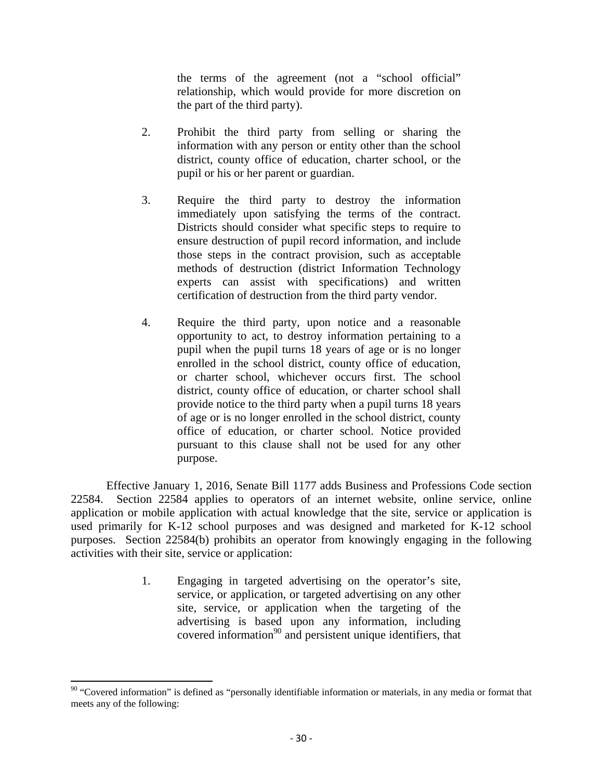the terms of the agreement (not a "school official" relationship, which would provide for more discretion on the part of the third party).

- 2. Prohibit the third party from selling or sharing the information with any person or entity other than the school district, county office of education, charter school, or the pupil or his or her parent or guardian.
- 3. Require the third party to destroy the information immediately upon satisfying the terms of the contract. Districts should consider what specific steps to require to ensure destruction of pupil record information, and include those steps in the contract provision, such as acceptable methods of destruction (district Information Technology experts can assist with specifications) and written certification of destruction from the third party vendor.
- 4. Require the third party, upon notice and a reasonable opportunity to act, to destroy information pertaining to a pupil when the pupil turns 18 years of age or is no longer enrolled in the school district, county office of education, or charter school, whichever occurs first. The school district, county office of education, or charter school shall provide notice to the third party when a pupil turns 18 years of age or is no longer enrolled in the school district, county office of education, or charter school. Notice provided pursuant to this clause shall not be used for any other purpose.

Effective January 1, 2016, Senate Bill 1177 adds Business and Professions Code section 22584. Section 22584 applies to operators of an internet website, online service, online application or mobile application with actual knowledge that the site, service or application is used primarily for K-12 school purposes and was designed and marketed for K-12 school purposes. Section 22584(b) prohibits an operator from knowingly engaging in the following activities with their site, service or application:

> 1. Engaging in targeted advertising on the operator's site, service, or application, or targeted advertising on any other site, service, or application when the targeting of the advertising is based upon any information, including covered information<sup>90</sup> and persistent unique identifiers, that

  $90$  "Covered information" is defined as "personally identifiable information or materials, in any media or format that meets any of the following: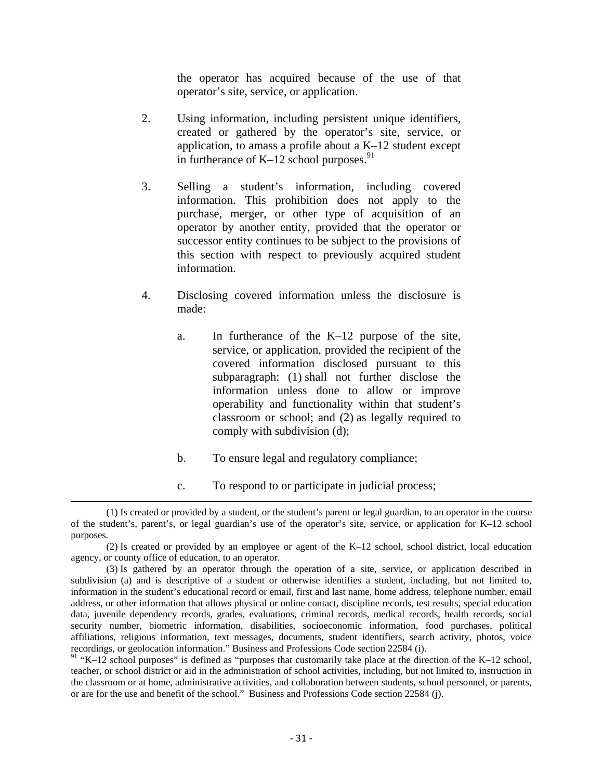the operator has acquired because of the use of that operator's site, service, or application.

- 2. Using information, including persistent unique identifiers, created or gathered by the operator's site, service, or application, to amass a profile about a K–12 student except in furtherance of  $K-12$  school purposes.<sup>91</sup>
- 3. Selling a student's information, including covered information. This prohibition does not apply to the purchase, merger, or other type of acquisition of an operator by another entity, provided that the operator or successor entity continues to be subject to the provisions of this section with respect to previously acquired student information.
- 4. Disclosing covered information unless the disclosure is made:
	- a. In furtherance of the K–12 purpose of the site, service, or application, provided the recipient of the covered information disclosed pursuant to this subparagraph: (1) shall not further disclose the information unless done to allow or improve operability and functionality within that student's classroom or school; and (2) as legally required to comply with subdivision (d);
	- b. To ensure legal and regulatory compliance;
- c. To respond to or participate in judicial process; <u> 1989 - Johann Stein, marwolaethau a gweledydd a ganlad y ganlad y ganlad y ganlad y ganlad y ganlad y ganlad</u>

<sup>(1)</sup> Is created or provided by a student, or the student's parent or legal guardian, to an operator in the course of the student's, parent's, or legal guardian's use of the operator's site, service, or application for K–12 school purposes.

<sup>(2)</sup> Is created or provided by an employee or agent of the K–12 school, school district, local education agency, or county office of education, to an operator.

<sup>(3)</sup> Is gathered by an operator through the operation of a site, service, or application described in subdivision (a) and is descriptive of a student or otherwise identifies a student, including, but not limited to, information in the student's educational record or email, first and last name, home address, telephone number, email address, or other information that allows physical or online contact, discipline records, test results, special education data, juvenile dependency records, grades, evaluations, criminal records, medical records, health records, social security number, biometric information, disabilities, socioeconomic information, food purchases, political affiliations, religious information, text messages, documents, student identifiers, search activity, photos, voice recordings, or geolocation information." Business and Professions Code section 22584 (i).

 $91$  "K–12 school purposes" is defined as "purposes that customarily take place at the direction of the K–12 school, teacher, or school district or aid in the administration of school activities, including, but not limited to, instruction in the classroom or at home, administrative activities, and collaboration between students, school personnel, or parents, or are for the use and benefit of the school." Business and Professions Code section 22584 (j).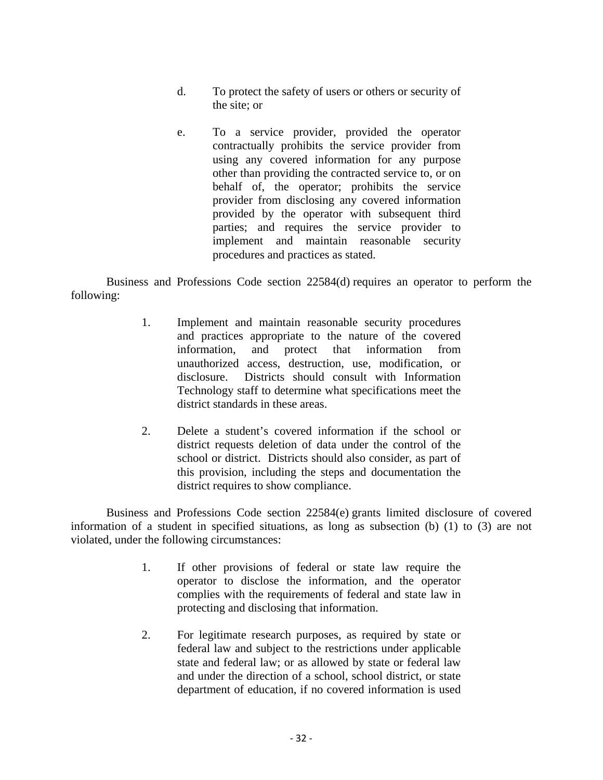- d. To protect the safety of users or others or security of the site; or
- e. To a service provider, provided the operator contractually prohibits the service provider from using any covered information for any purpose other than providing the contracted service to, or on behalf of, the operator; prohibits the service provider from disclosing any covered information provided by the operator with subsequent third parties; and requires the service provider to implement and maintain reasonable security procedures and practices as stated.

Business and Professions Code section 22584(d) requires an operator to perform the following:

- 1. Implement and maintain reasonable security procedures and practices appropriate to the nature of the covered information, and protect that information from unauthorized access, destruction, use, modification, or disclosure. Districts should consult with Information Technology staff to determine what specifications meet the district standards in these areas.
- 2. Delete a student's covered information if the school or district requests deletion of data under the control of the school or district. Districts should also consider, as part of this provision, including the steps and documentation the district requires to show compliance.

Business and Professions Code section 22584(e) grants limited disclosure of covered information of a student in specified situations, as long as subsection (b) (1) to (3) are not violated, under the following circumstances:

- 1. If other provisions of federal or state law require the operator to disclose the information, and the operator complies with the requirements of federal and state law in protecting and disclosing that information.
- 2. For legitimate research purposes, as required by state or federal law and subject to the restrictions under applicable state and federal law; or as allowed by state or federal law and under the direction of a school, school district, or state department of education, if no covered information is used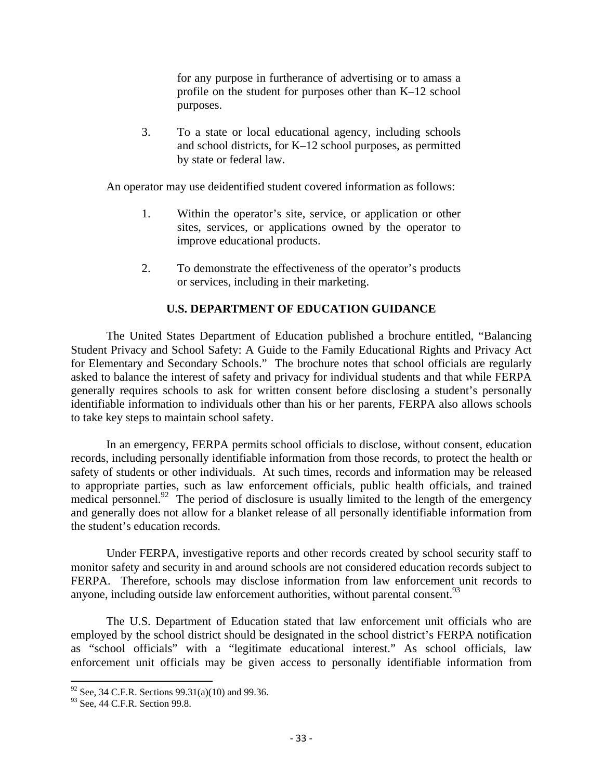for any purpose in furtherance of advertising or to amass a profile on the student for purposes other than K–12 school purposes.

3. To a state or local educational agency, including schools and school districts, for K–12 school purposes, as permitted by state or federal law.

An operator may use deidentified student covered information as follows:

- 1. Within the operator's site, service, or application or other sites, services, or applications owned by the operator to improve educational products.
- 2. To demonstrate the effectiveness of the operator's products or services, including in their marketing.

## **U.S. DEPARTMENT OF EDUCATION GUIDANCE**

 The United States Department of Education published a brochure entitled, "Balancing Student Privacy and School Safety: A Guide to the Family Educational Rights and Privacy Act for Elementary and Secondary Schools." The brochure notes that school officials are regularly asked to balance the interest of safety and privacy for individual students and that while FERPA generally requires schools to ask for written consent before disclosing a student's personally identifiable information to individuals other than his or her parents, FERPA also allows schools to take key steps to maintain school safety.

 In an emergency, FERPA permits school officials to disclose, without consent, education records, including personally identifiable information from those records, to protect the health or safety of students or other individuals. At such times, records and information may be released to appropriate parties, such as law enforcement officials, public health officials, and trained medical personnel.<sup>92</sup> The period of disclosure is usually limited to the length of the emergency and generally does not allow for a blanket release of all personally identifiable information from the student's education records.

 Under FERPA, investigative reports and other records created by school security staff to monitor safety and security in and around schools are not considered education records subject to FERPA. Therefore, schools may disclose information from law enforcement unit records to anyone, including outside law enforcement authorities, without parental consent.<sup>93</sup>

 The U.S. Department of Education stated that law enforcement unit officials who are employed by the school district should be designated in the school district's FERPA notification as "school officials" with a "legitimate educational interest." As school officials, law enforcement unit officials may be given access to personally identifiable information from

 $92$  See, 34 C.F.R. Sections 99.31(a)(10) and 99.36.

<sup>93</sup> See, 44 C.F.R. Section 99.8.